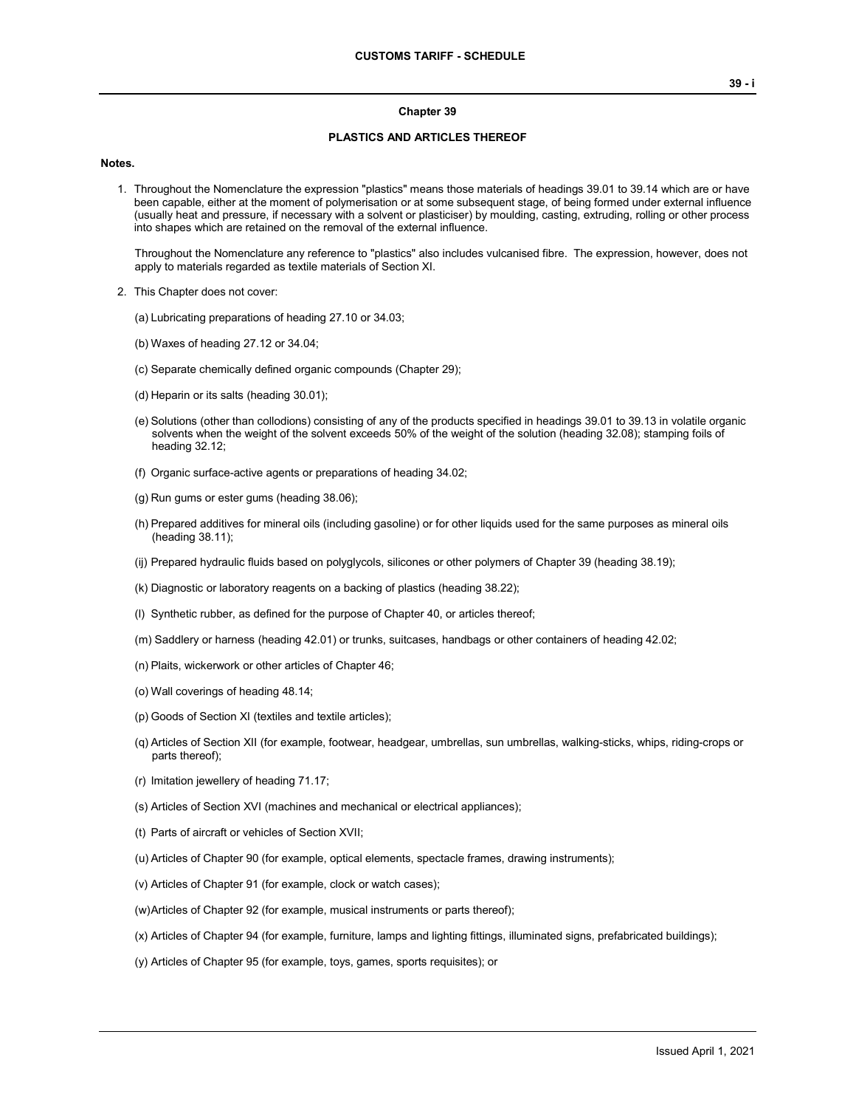#### **Chapter 39**

#### **PLASTICS AND ARTICLES THEREOF**

#### **Notes.**

1. Throughout the Nomenclature the expression "plastics" means those materials of headings 39.01 to 39.14 which are or have been capable, either at the moment of polymerisation or at some subsequent stage, of being formed under external influence (usually heat and pressure, if necessary with a solvent or plasticiser) by moulding, casting, extruding, rolling or other process into shapes which are retained on the removal of the external influence.

Throughout the Nomenclature any reference to "plastics" also includes vulcanised fibre. The expression, however, does not apply to materials regarded as textile materials of Section XI.

- 2. This Chapter does not cover:
	- (a) Lubricating preparations of heading 27.10 or 34.03;
	- (b) Waxes of heading 27.12 or 34.04;
	- (c) Separate chemically defined organic compounds (Chapter 29);
	- (d) Heparin or its salts (heading 30.01);
	- (e) Solutions (other than collodions) consisting of any of the products specified in headings 39.01 to 39.13 in volatile organic solvents when the weight of the solvent exceeds 50% of the weight of the solution (heading 32.08); stamping foils of heading 32.12;
	- (f) Organic surface-active agents or preparations of heading 34.02;
	- (g) Run gums or ester gums (heading 38.06);
	- (h) Prepared additives for mineral oils (including gasoline) or for other liquids used for the same purposes as mineral oils (heading 38.11);
	- (ij) Prepared hydraulic fluids based on polyglycols, silicones or other polymers of Chapter 39 (heading 38.19);
	- (k) Diagnostic or laboratory reagents on a backing of plastics (heading 38.22);
	- (l) Synthetic rubber, as defined for the purpose of Chapter 40, or articles thereof;
	- (m) Saddlery or harness (heading 42.01) or trunks, suitcases, handbags or other containers of heading 42.02;
	- (n) Plaits, wickerwork or other articles of Chapter 46;
	- (o) Wall coverings of heading 48.14;
	- (p) Goods of Section XI (textiles and textile articles);
	- (q) Articles of Section XII (for example, footwear, headgear, umbrellas, sun umbrellas, walking-sticks, whips, riding-crops or parts thereof);
	- (r) Imitation jewellery of heading 71.17;
	- (s) Articles of Section XVI (machines and mechanical or electrical appliances);
	- (t) Parts of aircraft or vehicles of Section XVII;
	- (u) Articles of Chapter 90 (for example, optical elements, spectacle frames, drawing instruments);
	- (v) Articles of Chapter 91 (for example, clock or watch cases);
	- (w)Articles of Chapter 92 (for example, musical instruments or parts thereof);
	- (x) Articles of Chapter 94 (for example, furniture, lamps and lighting fittings, illuminated signs, prefabricated buildings);
	- (y) Articles of Chapter 95 (for example, toys, games, sports requisites); or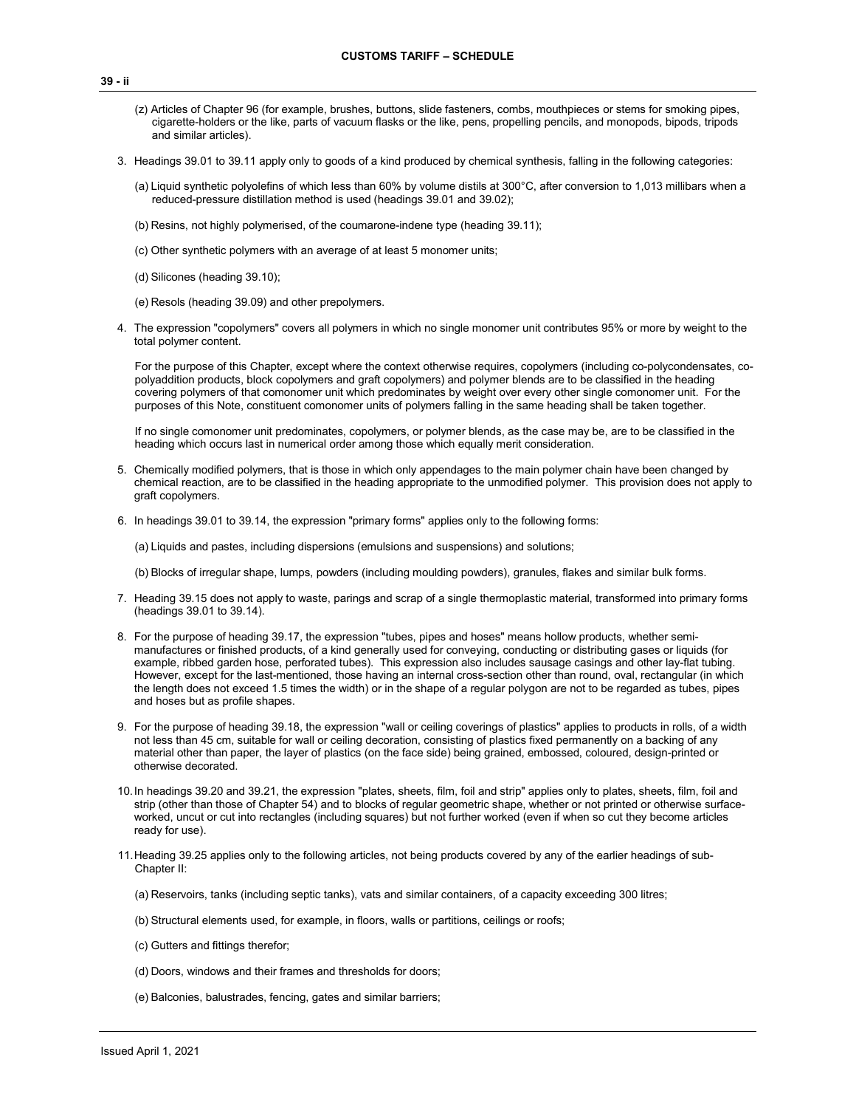- (z) Articles of Chapter 96 (for example, brushes, buttons, slide fasteners, combs, mouthpieces or stems for smoking pipes, cigarette-holders or the like, parts of vacuum flasks or the like, pens, propelling pencils, and monopods, bipods, tripods and similar articles).
- 3. Headings 39.01 to 39.11 apply only to goods of a kind produced by chemical synthesis, falling in the following categories:
	- (a) Liquid synthetic polyolefins of which less than 60% by volume distils at 300°C, after conversion to 1,013 millibars when a reduced-pressure distillation method is used (headings 39.01 and 39.02);
	- (b) Resins, not highly polymerised, of the coumarone-indene type (heading 39.11);
	- (c) Other synthetic polymers with an average of at least 5 monomer units;
	- (d) Silicones (heading 39.10);
	- (e) Resols (heading 39.09) and other prepolymers.
- 4. The expression "copolymers" covers all polymers in which no single monomer unit contributes 95% or more by weight to the total polymer content.

For the purpose of this Chapter, except where the context otherwise requires, copolymers (including co-polycondensates, copolyaddition products, block copolymers and graft copolymers) and polymer blends are to be classified in the heading covering polymers of that comonomer unit which predominates by weight over every other single comonomer unit. For the purposes of this Note, constituent comonomer units of polymers falling in the same heading shall be taken together.

If no single comonomer unit predominates, copolymers, or polymer blends, as the case may be, are to be classified in the heading which occurs last in numerical order among those which equally merit consideration.

- 5. Chemically modified polymers, that is those in which only appendages to the main polymer chain have been changed by chemical reaction, are to be classified in the heading appropriate to the unmodified polymer. This provision does not apply to graft copolymers.
- 6. In headings 39.01 to 39.14, the expression "primary forms" applies only to the following forms:

(a) Liquids and pastes, including dispersions (emulsions and suspensions) and solutions;

(b) Blocks of irregular shape, lumps, powders (including moulding powders), granules, flakes and similar bulk forms.

- 7. Heading 39.15 does not apply to waste, parings and scrap of a single thermoplastic material, transformed into primary forms (headings 39.01 to 39.14).
- 8. For the purpose of heading 39.17, the expression "tubes, pipes and hoses" means hollow products, whether semimanufactures or finished products, of a kind generally used for conveying, conducting or distributing gases or liquids (for example, ribbed garden hose, perforated tubes). This expression also includes sausage casings and other lay-flat tubing. However, except for the last-mentioned, those having an internal cross-section other than round, oval, rectangular (in which the length does not exceed 1.5 times the width) or in the shape of a regular polygon are not to be regarded as tubes, pipes and hoses but as profile shapes.
- 9. For the purpose of heading 39.18, the expression "wall or ceiling coverings of plastics" applies to products in rolls, of a width not less than 45 cm, suitable for wall or ceiling decoration, consisting of plastics fixed permanently on a backing of any material other than paper, the layer of plastics (on the face side) being grained, embossed, coloured, design-printed or otherwise decorated.
- 10.In headings 39.20 and 39.21, the expression "plates, sheets, film, foil and strip" applies only to plates, sheets, film, foil and strip (other than those of Chapter 54) and to blocks of regular geometric shape, whether or not printed or otherwise surfaceworked, uncut or cut into rectangles (including squares) but not further worked (even if when so cut they become articles ready for use).
- 11.Heading 39.25 applies only to the following articles, not being products covered by any of the earlier headings of sub-Chapter II:
	- (a) Reservoirs, tanks (including septic tanks), vats and similar containers, of a capacity exceeding 300 litres;
	- (b) Structural elements used, for example, in floors, walls or partitions, ceilings or roofs;
	- (c) Gutters and fittings therefor;
	- (d) Doors, windows and their frames and thresholds for doors;
	- (e) Balconies, balustrades, fencing, gates and similar barriers;

**39 - ii**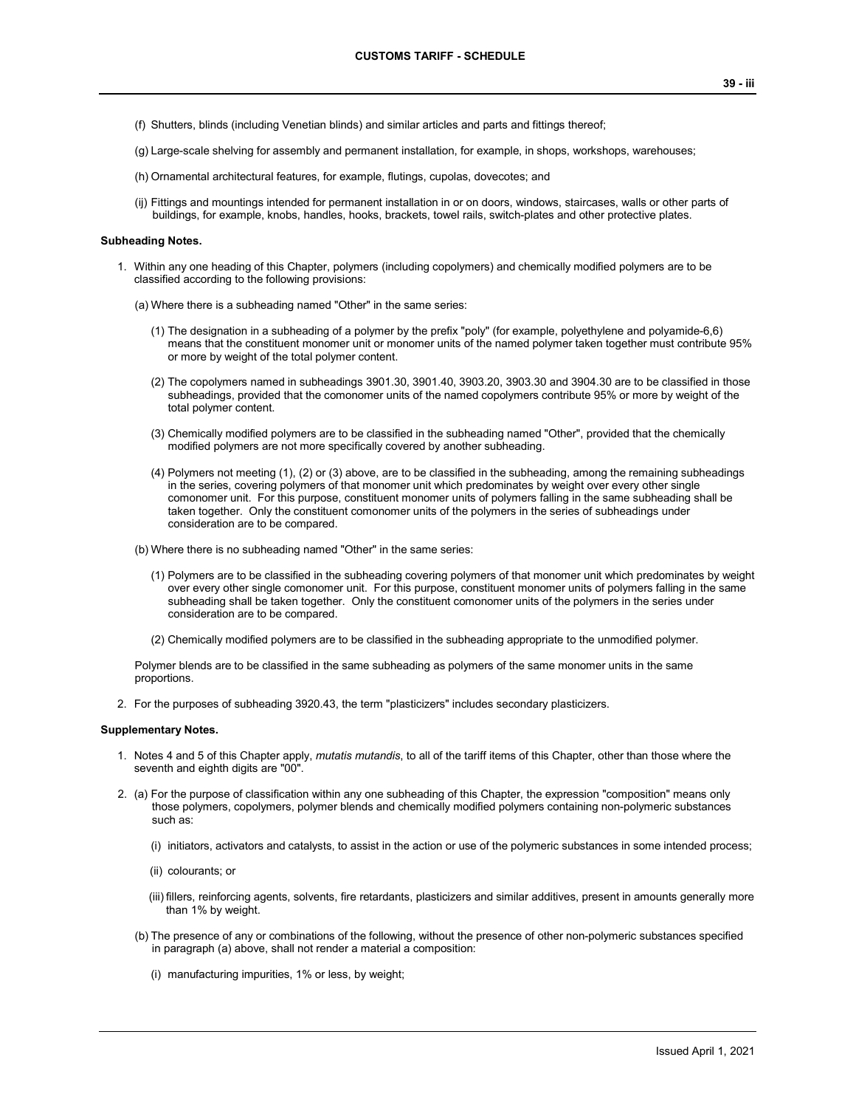- (f) Shutters, blinds (including Venetian blinds) and similar articles and parts and fittings thereof;
- (g) Large-scale shelving for assembly and permanent installation, for example, in shops, workshops, warehouses;
- (h) Ornamental architectural features, for example, flutings, cupolas, dovecotes; and
- (ij) Fittings and mountings intended for permanent installation in or on doors, windows, staircases, walls or other parts of buildings, for example, knobs, handles, hooks, brackets, towel rails, switch-plates and other protective plates.

#### **Subheading Notes.**

1. Within any one heading of this Chapter, polymers (including copolymers) and chemically modified polymers are to be classified according to the following provisions:

(a) Where there is a subheading named "Other" in the same series:

- (1) The designation in a subheading of a polymer by the prefix "poly" (for example, polyethylene and polyamide-6,6) means that the constituent monomer unit or monomer units of the named polymer taken together must contribute 95% or more by weight of the total polymer content.
- (2) The copolymers named in subheadings 3901.30, 3901.40, 3903.20, 3903.30 and 3904.30 are to be classified in those subheadings, provided that the comonomer units of the named copolymers contribute 95% or more by weight of the total polymer content.
- (3) Chemically modified polymers are to be classified in the subheading named "Other", provided that the chemically modified polymers are not more specifically covered by another subheading.
- (4) Polymers not meeting (1), (2) or (3) above, are to be classified in the subheading, among the remaining subheadings in the series, covering polymers of that monomer unit which predominates by weight over every other single comonomer unit. For this purpose, constituent monomer units of polymers falling in the same subheading shall be taken together. Only the constituent comonomer units of the polymers in the series of subheadings under consideration are to be compared.
- (b) Where there is no subheading named "Other" in the same series:
	- (1) Polymers are to be classified in the subheading covering polymers of that monomer unit which predominates by weight over every other single comonomer unit. For this purpose, constituent monomer units of polymers falling in the same subheading shall be taken together. Only the constituent comonomer units of the polymers in the series under consideration are to be compared.
	- (2) Chemically modified polymers are to be classified in the subheading appropriate to the unmodified polymer.

Polymer blends are to be classified in the same subheading as polymers of the same monomer units in the same proportions.

2. For the purposes of subheading 3920.43, the term "plasticizers" includes secondary plasticizers.

#### **Supplementary Notes.**

- 1. Notes 4 and 5 of this Chapter apply, *mutatis mutandis*, to all of the tariff items of this Chapter, other than those where the seventh and eighth digits are "00".
- 2. (a) For the purpose of classification within any one subheading of this Chapter, the expression "composition" means only those polymers, copolymers, polymer blends and chemically modified polymers containing non-polymeric substances such as:
	- (i) initiators, activators and catalysts, to assist in the action or use of the polymeric substances in some intended process;
	- (ii) colourants; or
	- (iii) fillers, reinforcing agents, solvents, fire retardants, plasticizers and similar additives, present in amounts generally more than 1% by weight.
	- (b) The presence of any or combinations of the following, without the presence of other non-polymeric substances specified in paragraph (a) above, shall not render a material a composition:
		- (i) manufacturing impurities, 1% or less, by weight;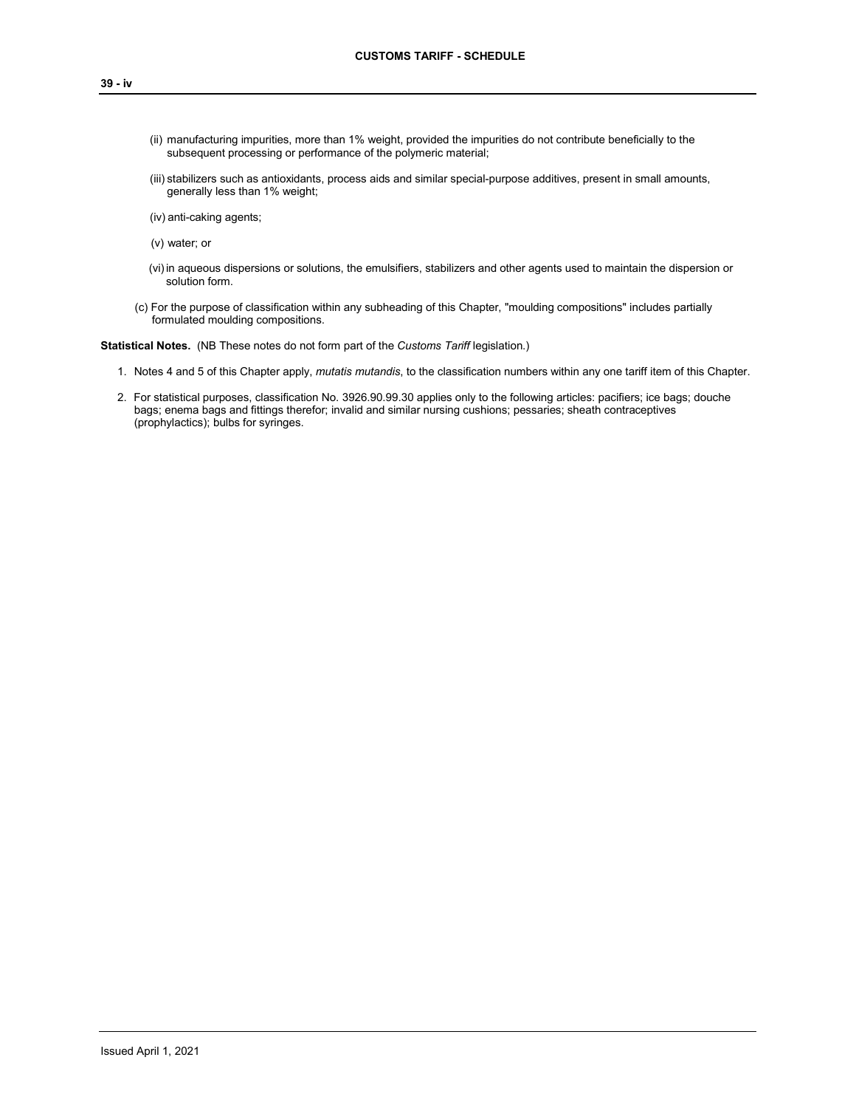- (ii) manufacturing impurities, more than 1% weight, provided the impurities do not contribute beneficially to the subsequent processing or performance of the polymeric material;
- (iii) stabilizers such as antioxidants, process aids and similar special-purpose additives, present in small amounts, generally less than 1% weight;
- (iv) anti-caking agents;
- (v) water; or
- (vi)in aqueous dispersions or solutions, the emulsifiers, stabilizers and other agents used to maintain the dispersion or solution form.
- (c) For the purpose of classification within any subheading of this Chapter, "moulding compositions" includes partially formulated moulding compositions.

**Statistical Notes.** (NB These notes do not form part of the *Customs Tariff* legislation.)

- 1. Notes 4 and 5 of this Chapter apply, *mutatis mutandis*, to the classification numbers within any one tariff item of this Chapter.
- 2. For statistical purposes, classification No. 3926.90.99.30 applies only to the following articles: pacifiers; ice bags; douche bags; enema bags and fittings therefor; invalid and similar nursing cushions; pessaries; sheath contraceptives (prophylactics); bulbs for syringes.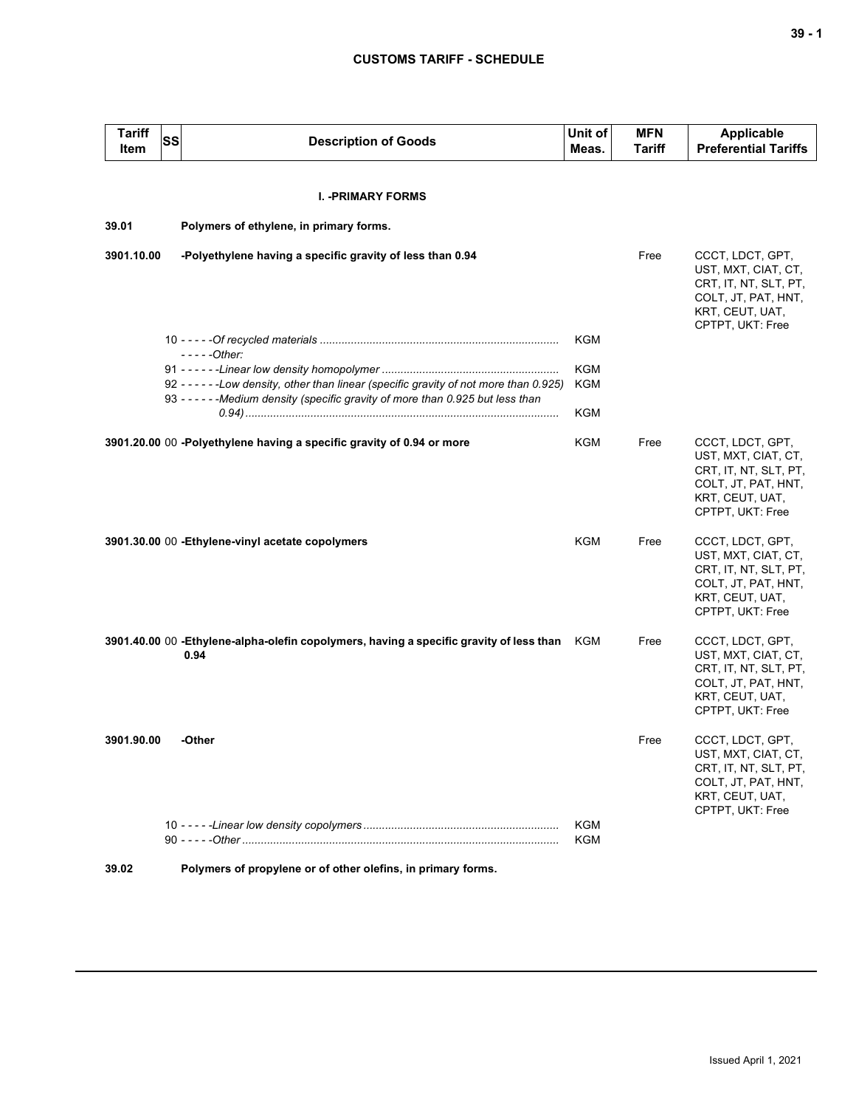| <b>Tariff</b><br>Item | SS | <b>Description of Goods</b>                                                                                                                                                 | Unit of<br>Meas.  | <b>MFN</b><br><b>Tariff</b> | <b>Applicable</b><br><b>Preferential Tariffs</b>                                                                               |
|-----------------------|----|-----------------------------------------------------------------------------------------------------------------------------------------------------------------------------|-------------------|-----------------------------|--------------------------------------------------------------------------------------------------------------------------------|
|                       |    |                                                                                                                                                                             |                   |                             |                                                                                                                                |
|                       |    | <b>I. - PRIMARY FORMS</b>                                                                                                                                                   |                   |                             |                                                                                                                                |
| 39.01                 |    | Polymers of ethylene, in primary forms.                                                                                                                                     |                   |                             |                                                                                                                                |
| 3901.10.00            |    | -Polyethylene having a specific gravity of less than 0.94                                                                                                                   |                   | Free                        | CCCT, LDCT, GPT,<br>UST, MXT, CIAT, CT,<br>CRT, IT, NT, SLT, PT,<br>COLT, JT, PAT, HNT,<br>KRT, CEUT, UAT,<br>CPTPT, UKT: Free |
|                       |    |                                                                                                                                                                             | KGM               |                             |                                                                                                                                |
|                       |    | $---Other:$                                                                                                                                                                 | <b>KGM</b>        |                             |                                                                                                                                |
|                       |    | 92 - - - - - - Low density, other than linear (specific gravity of not more than 0.925)<br>93 - - - - - - Medium density (specific gravity of more than 0.925 but less than | <b>KGM</b>        |                             |                                                                                                                                |
|                       |    |                                                                                                                                                                             | <b>KGM</b>        |                             |                                                                                                                                |
|                       |    | 3901.20.00 00 -Polyethylene having a specific gravity of 0.94 or more                                                                                                       | KGM               | Free                        | CCCT, LDCT, GPT,<br>UST, MXT, CIAT, CT,<br>CRT, IT, NT, SLT, PT,<br>COLT, JT, PAT, HNT,<br>KRT, CEUT, UAT,<br>CPTPT, UKT: Free |
|                       |    | 3901.30.00 00 - Ethylene-vinyl acetate copolymers                                                                                                                           | KGM               | Free                        | CCCT, LDCT, GPT,<br>UST, MXT, CIAT, CT,<br>CRT, IT, NT, SLT, PT,<br>COLT, JT, PAT, HNT,<br>KRT, CEUT, UAT,<br>CPTPT, UKT: Free |
|                       |    | 3901.40.00 00 -Ethylene-alpha-olefin copolymers, having a specific gravity of less than<br>0.94                                                                             | KGM               | Free                        | CCCT, LDCT, GPT,<br>UST, MXT, CIAT, CT,<br>CRT, IT, NT, SLT, PT,<br>COLT, JT, PAT, HNT,<br>KRT, CEUT, UAT,<br>CPTPT, UKT: Free |
| 3901.90.00            |    | -Other                                                                                                                                                                      |                   | Free                        | CCCT, LDCT, GPT,<br>UST, MXT, CIAT, CT,<br>CRT, IT, NT, SLT, PT,<br>COLT, JT, PAT, HNT,<br>KRT, CEUT, UAT,<br>CPTPT, UKT: Free |
|                       |    |                                                                                                                                                                             | <b>KGM</b><br>KGM |                             |                                                                                                                                |
| 39.02                 |    | Polymers of propylene or of other olefins, in primary forms.                                                                                                                |                   |                             |                                                                                                                                |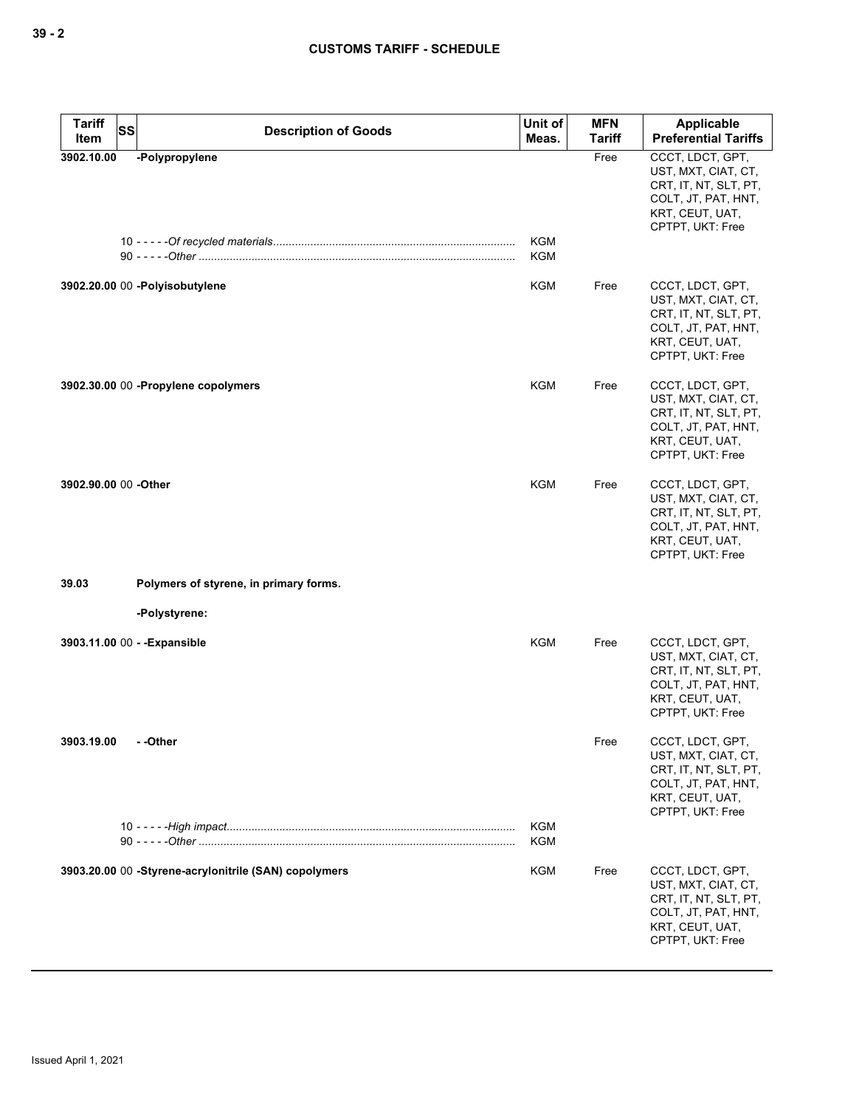| <b>Tariff</b><br><b>SS</b><br>Item | <b>Description of Goods</b>                           | Unit of<br>Meas.         | <b>MFN</b><br><b>Tariff</b> | Applicable<br><b>Preferential Tariffs</b>                                                                                      |
|------------------------------------|-------------------------------------------------------|--------------------------|-----------------------------|--------------------------------------------------------------------------------------------------------------------------------|
| 3902.10.00                         | -Polypropylene                                        | <b>KGM</b><br><b>KGM</b> | Free                        | CCCT, LDCT, GPT,<br>UST, MXT, CIAT, CT,<br>CRT, IT, NT, SLT, PT,<br>COLT, JT, PAT, HNT,<br>KRT, CEUT, UAT,<br>CPTPT, UKT: Free |
|                                    | 3902.20.00 00 - Polyisobutylene                       | KGM                      | Free                        | CCCT, LDCT, GPT,<br>UST, MXT, CIAT, CT,<br>CRT, IT, NT, SLT, PT,<br>COLT, JT, PAT, HNT,<br>KRT, CEUT, UAT,<br>CPTPT, UKT: Free |
|                                    | 3902.30.00 00 - Propylene copolymers                  | KGM                      | Free                        | CCCT, LDCT, GPT,<br>UST, MXT, CIAT, CT,<br>CRT, IT, NT, SLT, PT,<br>COLT, JT, PAT, HNT,<br>KRT, CEUT, UAT,<br>CPTPT, UKT: Free |
| 3902.90.00 00 -Other               |                                                       | <b>KGM</b>               | Free                        | CCCT, LDCT, GPT,<br>UST, MXT, CIAT, CT,<br>CRT, IT, NT, SLT, PT,<br>COLT, JT, PAT, HNT,<br>KRT, CEUT, UAT,<br>CPTPT, UKT: Free |
| 39.03                              | Polymers of styrene, in primary forms.                |                          |                             |                                                                                                                                |
|                                    | -Polystyrene:                                         |                          |                             |                                                                                                                                |
| 3903.11.00 00 - - Expansible       |                                                       | <b>KGM</b>               | Free                        | CCCT, LDCT, GPT,<br>UST, MXT, CIAT, CT,<br>CRT, IT, NT, SLT, PT,<br>COLT, JT, PAT, HNT,<br>KRT, CEUT, UAT,<br>CPTPT, UKT: Free |
| 3903.19.00                         | - -Other                                              | <b>KGM</b>               | Free                        | CCCT, LDCT, GPT,<br>UST, MXT, CIAT, CT,<br>CRT, IT, NT, SLT, PT,<br>COLT, JT, PAT, HNT,<br>KRT, CEUT, UAT,<br>CPTPT, UKT: Free |
|                                    |                                                       | <b>KGM</b>               |                             |                                                                                                                                |
|                                    | 3903.20.00 00 -Styrene-acrylonitrile (SAN) copolymers | <b>KGM</b>               | Free                        | CCCT, LDCT, GPT,<br>UST, MXT, CIAT, CT,<br>CRT, IT, NT, SLT, PT,<br>COLT, JT, PAT, HNT,<br>KRT, CEUT, UAT,<br>CPTPT, UKT: Free |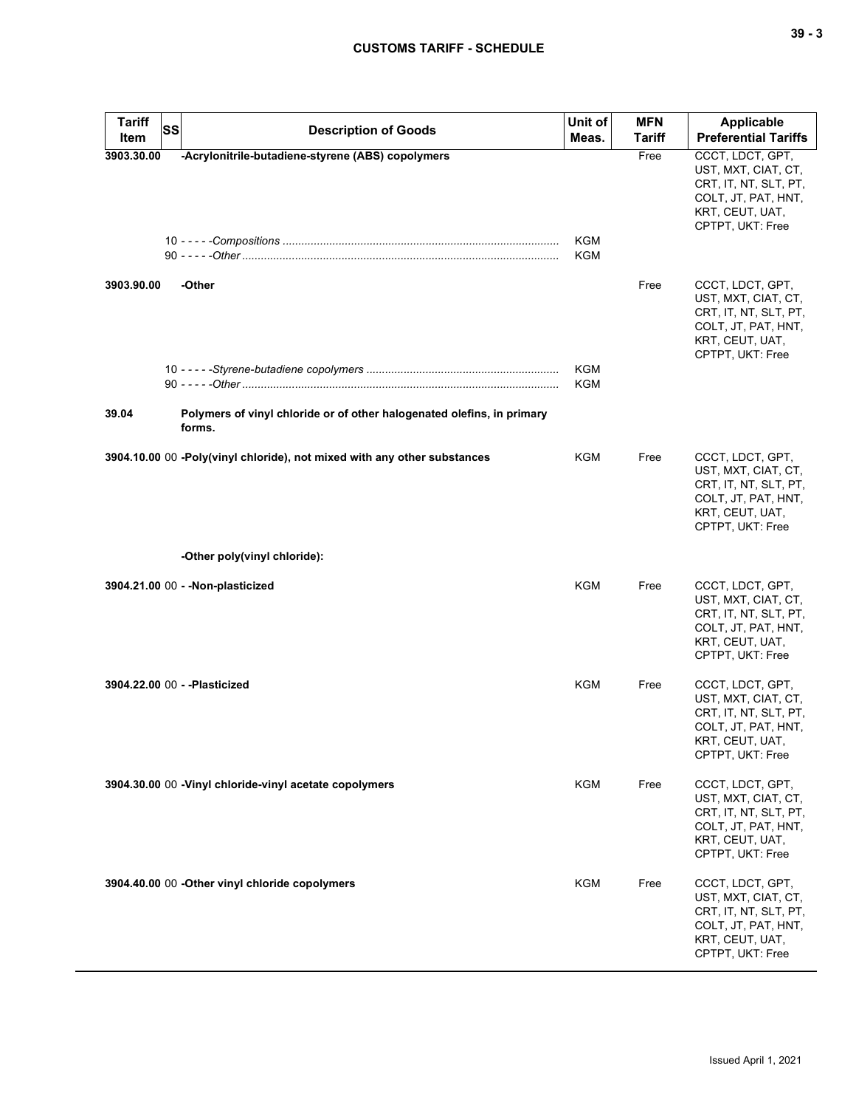| <b>Tariff</b><br>SS<br>Item | <b>Description of Goods</b>                                                      | Unit of<br>Meas.  | <b>MFN</b><br><b>Tariff</b> | <b>Applicable</b><br><b>Preferential Tariffs</b>                                                                               |
|-----------------------------|----------------------------------------------------------------------------------|-------------------|-----------------------------|--------------------------------------------------------------------------------------------------------------------------------|
| 3903.30.00                  | -Acrylonitrile-butadiene-styrene (ABS) copolymers                                | KGM<br>KGM        | Free                        | CCCT, LDCT, GPT,<br>UST, MXT, CIAT, CT,<br>CRT, IT, NT, SLT, PT,<br>COLT, JT, PAT, HNT,<br>KRT, CEUT, UAT,<br>CPTPT, UKT: Free |
| 3903.90.00                  | -Other                                                                           |                   | Free                        | CCCT, LDCT, GPT,<br>UST, MXT, CIAT, CT,<br>CRT, IT, NT, SLT, PT,<br>COLT, JT, PAT, HNT,<br>KRT, CEUT, UAT,<br>CPTPT, UKT: Free |
|                             |                                                                                  | KGM<br><b>KGM</b> |                             |                                                                                                                                |
| 39.04                       | Polymers of vinyl chloride or of other halogenated olefins, in primary<br>forms. |                   |                             |                                                                                                                                |
|                             | 3904.10.00 00 -Poly(vinyl chloride), not mixed with any other substances         | KGM               | Free                        | CCCT, LDCT, GPT,<br>UST, MXT, CIAT, CT,<br>CRT, IT, NT, SLT, PT,<br>COLT, JT, PAT, HNT,<br>KRT, CEUT, UAT,<br>CPTPT, UKT: Free |
|                             | -Other poly(vinyl chloride):                                                     |                   |                             |                                                                                                                                |
|                             | 3904.21.00 00 - - Non-plasticized                                                | <b>KGM</b>        | Free                        | CCCT, LDCT, GPT,<br>UST, MXT, CIAT, CT,<br>CRT, IT, NT, SLT, PT,<br>COLT, JT, PAT, HNT,<br>KRT, CEUT, UAT,<br>CPTPT, UKT: Free |
|                             | 3904.22.00 00 - - Plasticized                                                    | KGM               | Free                        | CCCT, LDCT, GPT,<br>UST, MXT, CIAT, CT,<br>CRT, IT, NT, SLT, PT,<br>COLT, JT, PAT, HNT,<br>KRT, CEUT, UAT,<br>CPTPT, UKT: Free |
|                             | 3904.30.00 00 - Vinyl chloride-vinyl acetate copolymers                          | KGM               | Free                        | CCCT, LDCT, GPT,<br>UST, MXT, CIAT, CT,<br>CRT, IT, NT, SLT, PT,<br>COLT, JT, PAT, HNT,<br>KRT, CEUT, UAT,<br>CPTPT, UKT: Free |
|                             | 3904.40.00 00 -Other vinyl chloride copolymers                                   | KGM               | Free                        | CCCT, LDCT, GPT,<br>UST, MXT, CIAT, CT,<br>CRT, IT, NT, SLT, PT,<br>COLT, JT, PAT, HNT,<br>KRT, CEUT, UAT,<br>CPTPT, UKT: Free |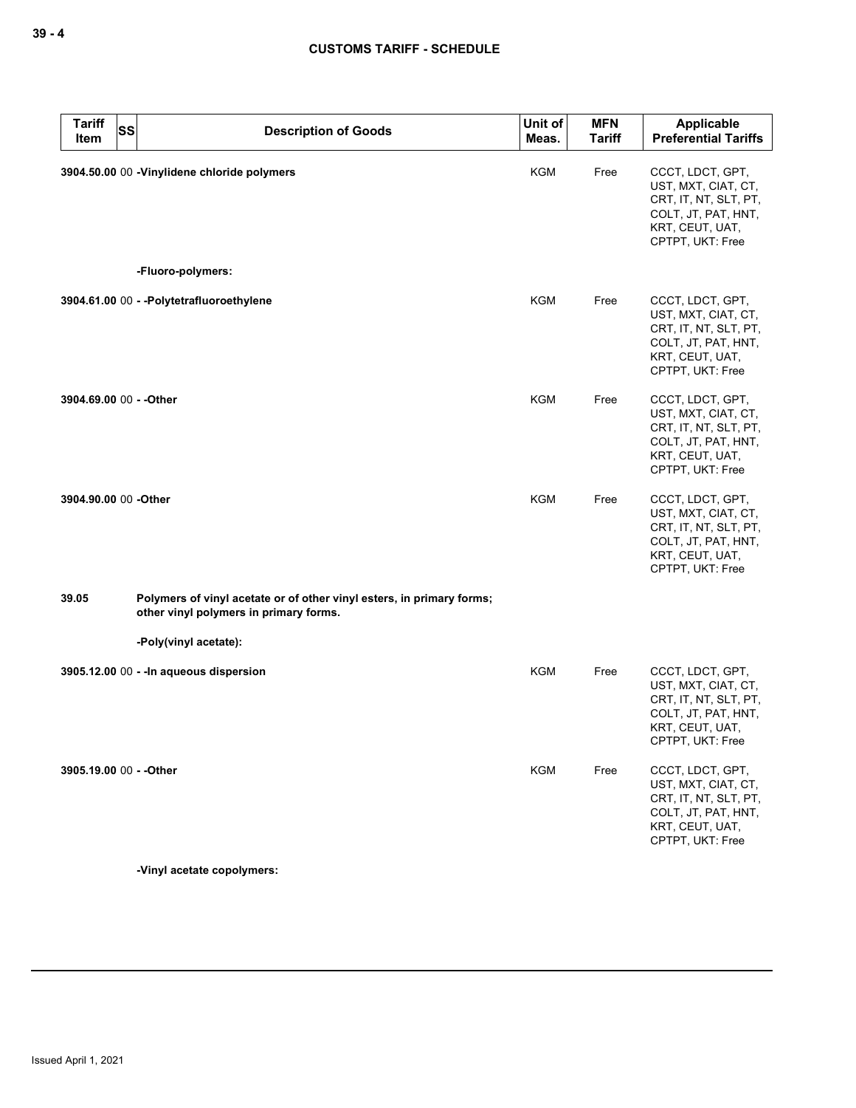| <b>Tariff</b><br><b>SS</b><br>Item | <b>Description of Goods</b>                                                                                     | Unit of<br>Meas. | <b>MFN</b><br><b>Tariff</b> | Applicable<br><b>Preferential Tariffs</b>                                                                                      |
|------------------------------------|-----------------------------------------------------------------------------------------------------------------|------------------|-----------------------------|--------------------------------------------------------------------------------------------------------------------------------|
|                                    | 3904.50.00 00 -Vinylidene chloride polymers                                                                     | <b>KGM</b>       | Free                        | CCCT, LDCT, GPT,<br>UST, MXT, CIAT, CT,<br>CRT, IT, NT, SLT, PT,<br>COLT, JT, PAT, HNT,<br>KRT, CEUT, UAT,<br>CPTPT, UKT: Free |
|                                    | -Fluoro-polymers:                                                                                               |                  |                             |                                                                                                                                |
|                                    | 3904.61.00 00 - - Polytetrafluoroethylene                                                                       | <b>KGM</b>       | Free                        | CCCT, LDCT, GPT,<br>UST, MXT, CIAT, CT,<br>CRT, IT, NT, SLT, PT,<br>COLT, JT, PAT, HNT,<br>KRT, CEUT, UAT,<br>CPTPT, UKT: Free |
| 3904.69.00 00 - - Other            |                                                                                                                 | KGM              | Free                        | CCCT, LDCT, GPT,<br>UST, MXT, CIAT, CT,<br>CRT, IT, NT, SLT, PT,<br>COLT, JT, PAT, HNT,<br>KRT, CEUT, UAT,<br>CPTPT, UKT: Free |
| 3904.90.00 00 -Other               |                                                                                                                 | <b>KGM</b>       | Free                        | CCCT, LDCT, GPT,<br>UST, MXT, CIAT, CT,<br>CRT, IT, NT, SLT, PT,<br>COLT, JT, PAT, HNT,<br>KRT, CEUT, UAT,<br>CPTPT, UKT: Free |
| 39.05                              | Polymers of vinyl acetate or of other vinyl esters, in primary forms;<br>other vinyl polymers in primary forms. |                  |                             |                                                                                                                                |
|                                    | -Poly(vinyl acetate):                                                                                           |                  |                             |                                                                                                                                |
|                                    | 3905.12.00 00 - - In aqueous dispersion                                                                         | <b>KGM</b>       | Free                        | CCCT, LDCT, GPT,<br>UST, MXT, CIAT, CT,<br>CRT, IT, NT, SLT, PT,<br>COLT, JT, PAT, HNT,<br>KRT, CEUT, UAT,<br>CPTPT, UKT: Free |
| 3905.19.00 00 - - Other            |                                                                                                                 | <b>KGM</b>       | Free                        | CCCT, LDCT, GPT,<br>UST, MXT, CIAT, CT,<br>CRT, IT, NT, SLT, PT,<br>COLT, JT, PAT, HNT,<br>KRT, CEUT, UAT,<br>CPTPT, UKT: Free |
|                                    |                                                                                                                 |                  |                             |                                                                                                                                |

**-Vinyl acetate copolymers:**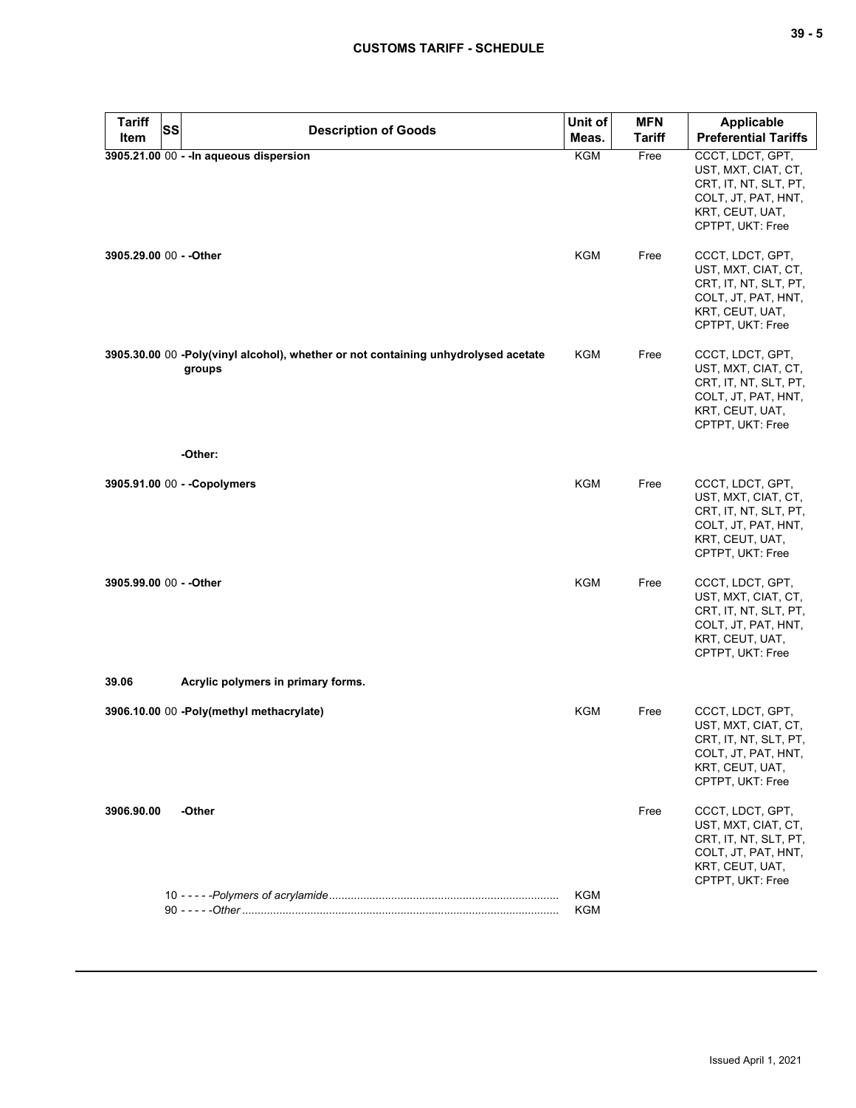| <b>Tariff</b><br><b>SS</b> | <b>Description of Goods</b>                                                                  | Unit of                  | <b>MFN</b>    | <b>Applicable</b>                                                                                                              |
|----------------------------|----------------------------------------------------------------------------------------------|--------------------------|---------------|--------------------------------------------------------------------------------------------------------------------------------|
| Item                       |                                                                                              | Meas.                    | <b>Tariff</b> | <b>Preferential Tariffs</b>                                                                                                    |
|                            | 3905.21.00 00 - - In aqueous dispersion                                                      | <b>KGM</b>               | Free          | CCCT, LDCT, GPT,<br>UST, MXT, CIAT, CT,<br>CRT, IT, NT, SLT, PT,<br>COLT, JT, PAT, HNT,<br>KRT, CEUT, UAT,<br>CPTPT, UKT: Free |
| 3905.29.00 00 - - Other    |                                                                                              | <b>KGM</b>               | Free          | CCCT, LDCT, GPT,<br>UST, MXT, CIAT, CT,<br>CRT, IT, NT, SLT, PT,<br>COLT, JT, PAT, HNT,<br>KRT, CEUT, UAT,<br>CPTPT, UKT: Free |
|                            | 3905.30.00 00 -Poly(vinyl alcohol), whether or not containing unhydrolysed acetate<br>groups | KGM                      | Free          | CCCT, LDCT, GPT,<br>UST, MXT, CIAT, CT,<br>CRT, IT, NT, SLT, PT,<br>COLT, JT, PAT, HNT,<br>KRT, CEUT, UAT,<br>CPTPT, UKT: Free |
|                            | -Other:                                                                                      |                          |               |                                                                                                                                |
|                            | 3905.91.00 00 - - Copolymers                                                                 | <b>KGM</b>               | Free          | CCCT, LDCT, GPT,<br>UST, MXT, CIAT, CT,<br>CRT, IT, NT, SLT, PT,<br>COLT, JT, PAT, HNT,<br>KRT, CEUT, UAT,<br>CPTPT, UKT: Free |
| 3905.99.00 00 - - Other    |                                                                                              | <b>KGM</b>               | Free          | CCCT, LDCT, GPT,<br>UST, MXT, CIAT, CT,<br>CRT, IT, NT, SLT, PT,<br>COLT, JT, PAT, HNT,<br>KRT, CEUT, UAT,<br>CPTPT, UKT: Free |
| 39.06                      | Acrylic polymers in primary forms.                                                           |                          |               |                                                                                                                                |
|                            | 3906.10.00 00 -Poly(methyl methacrylate)                                                     | KGM                      | Free          | CCCT, LDCT, GPT,<br>UST, MXT, CIAT, CT,<br>CRT, IT, NT, SLT, PT,<br>COLT, JT, PAT, HNT,<br>KRT, CEUT, UAT,<br>CPTPT, UKT: Free |
| 3906.90.00                 | -Other                                                                                       |                          | Free          | CCCT, LDCT, GPT,<br>UST, MXT, CIAT, CT,<br>CRT, IT, NT, SLT, PT,<br>COLT, JT, PAT, HNT,<br>KRT, CEUT, UAT,<br>CPTPT, UKT: Free |
|                            |                                                                                              | <b>KGM</b><br><b>KGM</b> |               |                                                                                                                                |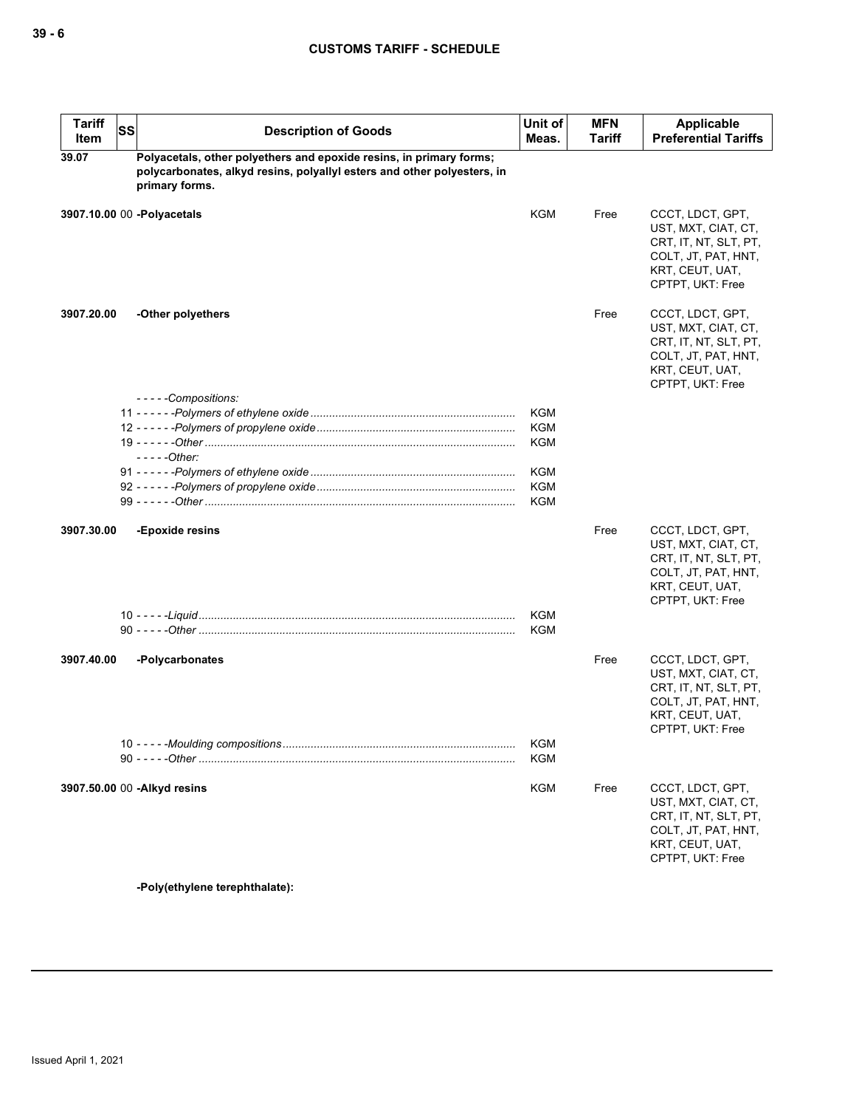| <b>Tariff</b><br>Item | <b>SS</b> | <b>Description of Goods</b>                                                                                                                                      | Unit of<br>Meas. | <b>MFN</b><br><b>Tariff</b> | Applicable<br><b>Preferential Tariffs</b>                                                                                      |
|-----------------------|-----------|------------------------------------------------------------------------------------------------------------------------------------------------------------------|------------------|-----------------------------|--------------------------------------------------------------------------------------------------------------------------------|
| 39.07                 |           | Polyacetals, other polyethers and epoxide resins, in primary forms;<br>polycarbonates, alkyd resins, polyallyl esters and other polyesters, in<br>primary forms. |                  |                             |                                                                                                                                |
|                       |           | 3907.10.00 00 -Polyacetals                                                                                                                                       | KGM              | Free                        | CCCT, LDCT, GPT,<br>UST, MXT, CIAT, CT,<br>CRT, IT, NT, SLT, PT,<br>COLT, JT, PAT, HNT,<br>KRT, CEUT, UAT,<br>CPTPT, UKT: Free |
| 3907.20.00            |           | -Other polyethers                                                                                                                                                |                  | Free                        | CCCT, LDCT, GPT,<br>UST, MXT, CIAT, CT,<br>CRT, IT, NT, SLT, PT,<br>COLT, JT, PAT, HNT,<br>KRT, CEUT, UAT,<br>CPTPT, UKT: Free |
|                       |           | - - - - -Compositions:                                                                                                                                           |                  |                             |                                                                                                                                |
|                       |           |                                                                                                                                                                  | <b>KGM</b>       |                             |                                                                                                                                |
|                       |           |                                                                                                                                                                  | <b>KGM</b>       |                             |                                                                                                                                |
|                       |           | - - - - -Other:                                                                                                                                                  | <b>KGM</b>       |                             |                                                                                                                                |
|                       |           |                                                                                                                                                                  | <b>KGM</b>       |                             |                                                                                                                                |
|                       |           |                                                                                                                                                                  | <b>KGM</b>       |                             |                                                                                                                                |
|                       |           |                                                                                                                                                                  | <b>KGM</b>       |                             |                                                                                                                                |
|                       |           |                                                                                                                                                                  |                  |                             |                                                                                                                                |
| 3907.30.00            |           | -Epoxide resins                                                                                                                                                  |                  | Free                        | CCCT, LDCT, GPT,<br>UST, MXT, CIAT, CT,<br>CRT, IT, NT, SLT, PT,<br>COLT, JT, PAT, HNT,<br>KRT, CEUT, UAT,<br>CPTPT, UKT: Free |
|                       |           |                                                                                                                                                                  | <b>KGM</b>       |                             |                                                                                                                                |
|                       |           |                                                                                                                                                                  | <b>KGM</b>       |                             |                                                                                                                                |
| 3907.40.00            |           | -Polycarbonates                                                                                                                                                  |                  | Free                        | CCCT, LDCT, GPT,<br>UST, MXT, CIAT, CT,<br>CRT, IT, NT, SLT, PT,<br>COLT, JT, PAT, HNT,<br>KRT, CEUT, UAT,<br>CPTPT, UKT: Free |
|                       |           |                                                                                                                                                                  | KGM<br>KGM       |                             |                                                                                                                                |
|                       |           | 3907.50.00 00 - Alkyd resins                                                                                                                                     | KGM              | Free                        | CCCT, LDCT, GPT,<br>UST, MXT, CIAT, CT,<br>CRT, IT, NT, SLT, PT,<br>COLT, JT, PAT, HNT,<br>KRT, CEUT, UAT,<br>CPTPT, UKT: Free |
|                       |           | -Poly(ethylene terephthalate):                                                                                                                                   |                  |                             |                                                                                                                                |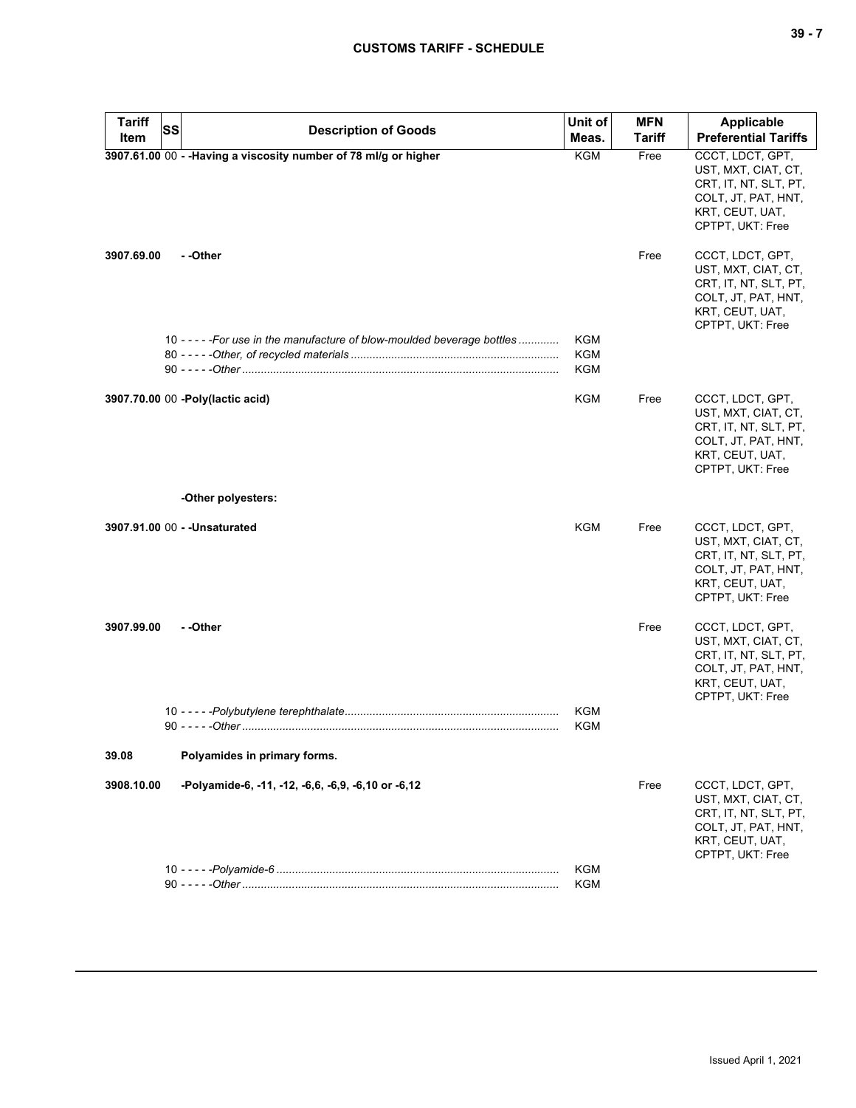| <b>Tariff</b> | <b>SS</b><br><b>Description of Goods</b>                                 | Unit of           | <b>MFN</b>    | Applicable                                                                                                                     |
|---------------|--------------------------------------------------------------------------|-------------------|---------------|--------------------------------------------------------------------------------------------------------------------------------|
| Item          |                                                                          | Meas.             | <b>Tariff</b> | <b>Preferential Tariffs</b>                                                                                                    |
|               | 3907.61.00 00 - - Having a viscosity number of 78 ml/g or higher         | <b>KGM</b>        | Free          | CCCT, LDCT, GPT,<br>UST, MXT, CIAT, CT,<br>CRT, IT, NT, SLT, PT,<br>COLT, JT, PAT, HNT,<br>KRT, CEUT, UAT,<br>CPTPT, UKT: Free |
| 3907.69.00    | - -Other                                                                 |                   | Free          | CCCT, LDCT, GPT,<br>UST, MXT, CIAT, CT,<br>CRT, IT, NT, SLT, PT,<br>COLT, JT, PAT, HNT,<br>KRT, CEUT, UAT,<br>CPTPT, UKT: Free |
|               | 10 - - - - - For use in the manufacture of blow-moulded beverage bottles | KGM               |               |                                                                                                                                |
|               |                                                                          | <b>KGM</b>        |               |                                                                                                                                |
|               |                                                                          | KGM               |               |                                                                                                                                |
|               | 3907.70.00 00 -Poly(lactic acid)                                         | KGM               | Free          | CCCT, LDCT, GPT,<br>UST, MXT, CIAT, CT,<br>CRT, IT, NT, SLT, PT,<br>COLT, JT, PAT, HNT,<br>KRT, CEUT, UAT,<br>CPTPT, UKT: Free |
|               | -Other polyesters:                                                       |                   |               |                                                                                                                                |
|               | 3907.91.00 00 - - Unsaturated                                            | <b>KGM</b>        | Free          | CCCT, LDCT, GPT,<br>UST, MXT, CIAT, CT,<br>CRT, IT, NT, SLT, PT,<br>COLT, JT, PAT, HNT,<br>KRT, CEUT, UAT,<br>CPTPT, UKT: Free |
| 3907.99.00    | - -Other                                                                 | <b>KGM</b><br>KGM | Free          | CCCT, LDCT, GPT,<br>UST, MXT, CIAT, CT,<br>CRT, IT, NT, SLT, PT,<br>COLT, JT, PAT, HNT,<br>KRT, CEUT, UAT,<br>CPTPT, UKT: Free |
| 39.08         | Polyamides in primary forms.                                             |                   |               |                                                                                                                                |
|               |                                                                          |                   |               |                                                                                                                                |
| 3908.10.00    | -Polyamide-6, -11, -12, -6,6, -6,9, -6,10 or -6,12                       |                   | Free          | CCCT, LDCT, GPT,<br>UST, MXT, CIAT, CT,<br>CRT, IT, NT, SLT, PT,<br>COLT, JT, PAT, HNT,<br>KRT, CEUT, UAT,<br>CPTPT, UKT: Free |
|               |                                                                          | <b>KGM</b>        |               |                                                                                                                                |
|               |                                                                          | <b>KGM</b>        |               |                                                                                                                                |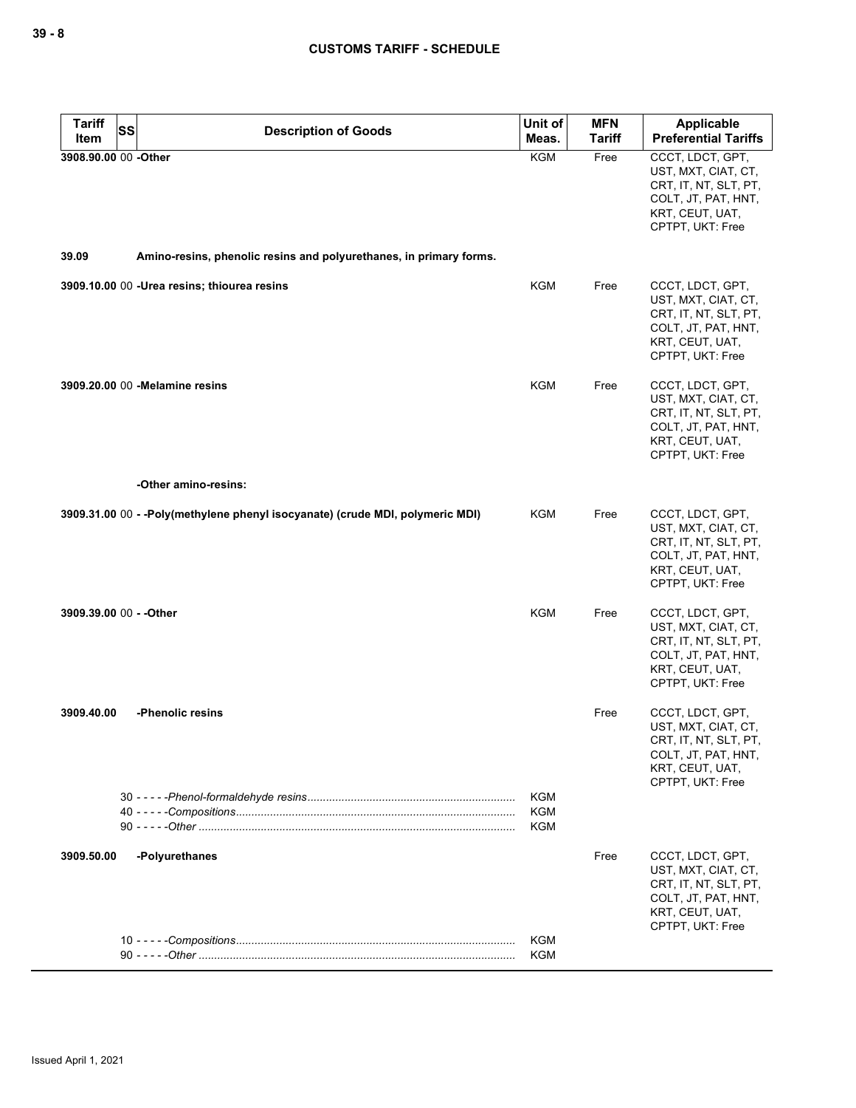| <b>Tariff</b><br>SS<br>Item | <b>Description of Goods</b>                                                   | Unit of<br>Meas.                       | <b>MFN</b><br><b>Tariff</b> | Applicable<br><b>Preferential Tariffs</b>                                                                                      |
|-----------------------------|-------------------------------------------------------------------------------|----------------------------------------|-----------------------------|--------------------------------------------------------------------------------------------------------------------------------|
| 3908.90.00 00 -Other        |                                                                               | <b>KGM</b>                             | Free                        | CCCT, LDCT, GPT,<br>UST, MXT, CIAT, CT,<br>CRT, IT, NT, SLT, PT,<br>COLT, JT, PAT, HNT,<br>KRT, CEUT, UAT,<br>CPTPT, UKT: Free |
| 39.09                       | Amino-resins, phenolic resins and polyurethanes, in primary forms.            |                                        |                             |                                                                                                                                |
|                             | 3909.10.00 00 - Urea resins; thiourea resins                                  | KGM                                    | Free                        | CCCT, LDCT, GPT,<br>UST, MXT, CIAT, CT,<br>CRT, IT, NT, SLT, PT,<br>COLT, JT, PAT, HNT,<br>KRT, CEUT, UAT,<br>CPTPT, UKT: Free |
|                             | 3909.20.00 00 - Melamine resins                                               | <b>KGM</b>                             | Free                        | CCCT, LDCT, GPT,<br>UST, MXT, CIAT, CT,<br>CRT, IT, NT, SLT, PT,<br>COLT, JT, PAT, HNT,<br>KRT, CEUT, UAT,<br>CPTPT, UKT: Free |
|                             | -Other amino-resins:                                                          |                                        |                             |                                                                                                                                |
|                             | 3909.31.00 00 - -Poly(methylene phenyl isocyanate) (crude MDI, polymeric MDI) | KGM                                    | Free                        | CCCT, LDCT, GPT,<br>UST, MXT, CIAT, CT,<br>CRT, IT, NT, SLT, PT,<br>COLT, JT, PAT, HNT,<br>KRT, CEUT, UAT,<br>CPTPT, UKT: Free |
| 3909.39.00 00 - - Other     |                                                                               | KGM                                    | Free                        | CCCT, LDCT, GPT,<br>UST, MXT, CIAT, CT,<br>CRT, IT, NT, SLT, PT,<br>COLT, JT, PAT, HNT,<br>KRT, CEUT, UAT,<br>CPTPT, UKT: Free |
| 3909.40.00                  | -Phenolic resins                                                              |                                        | Free                        | CCCT, LDCT, GPT,<br>UST, MXT, CIAT, CT,<br>CRT, IT, NT, SLT, PT,<br>COLT, JT, PAT, HNT,<br>KRT, CEUT, UAT,<br>CPTPT, UKT: Free |
|                             |                                                                               | <b>KGM</b><br><b>KGM</b><br><b>KGM</b> |                             |                                                                                                                                |
| 3909.50.00                  | -Polyurethanes                                                                |                                        | Free                        | CCCT, LDCT, GPT,<br>UST, MXT, CIAT, CT,<br>CRT, IT, NT, SLT, PT,<br>COLT, JT, PAT, HNT,<br>KRT, CEUT, UAT,<br>CPTPT, UKT: Free |
|                             |                                                                               | <b>KGM</b><br><b>KGM</b>               |                             |                                                                                                                                |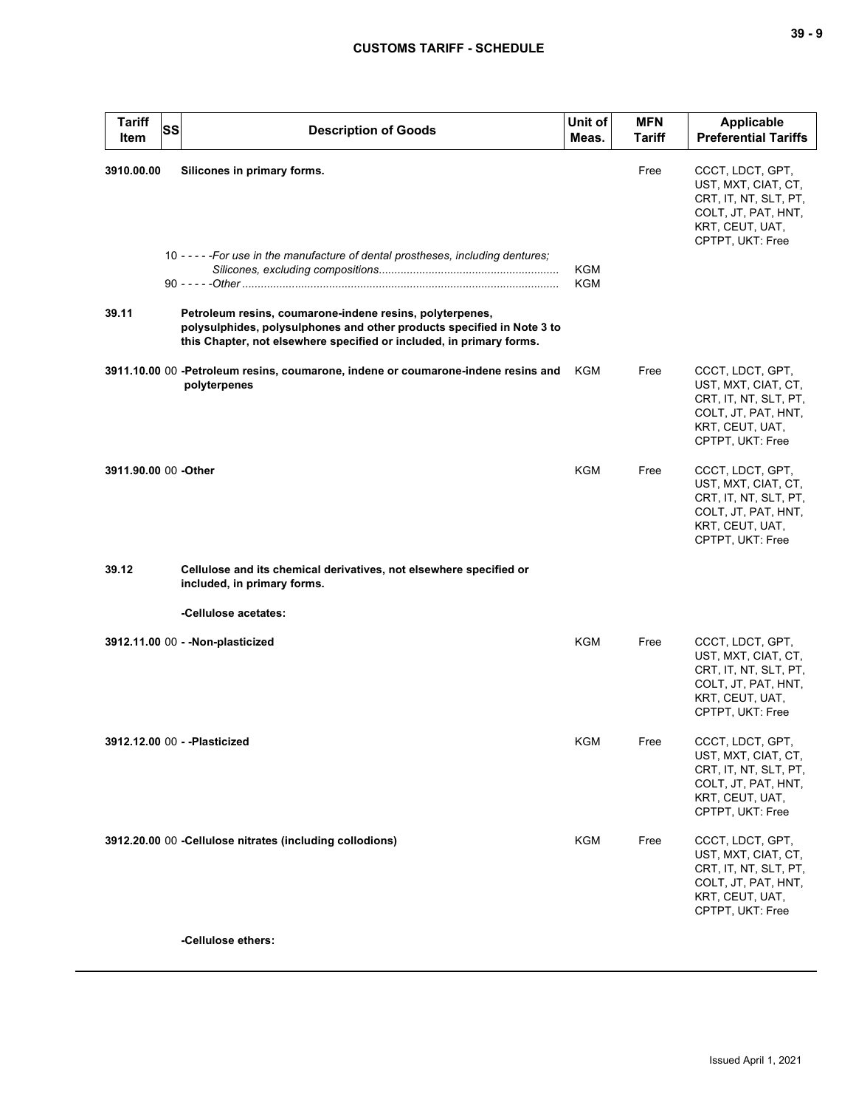| <b>Tariff</b><br>Item | <b>SS</b> | <b>Description of Goods</b>                                                                                                                                                                                | Unit of<br>Meas. | <b>MFN</b><br><b>Tariff</b> | <b>Applicable</b><br><b>Preferential Tariffs</b>                                                                               |
|-----------------------|-----------|------------------------------------------------------------------------------------------------------------------------------------------------------------------------------------------------------------|------------------|-----------------------------|--------------------------------------------------------------------------------------------------------------------------------|
| 3910.00.00            |           | Silicones in primary forms.<br>10 - - - - - For use in the manufacture of dental prostheses, including dentures;                                                                                           | <b>KGM</b>       | Free                        | CCCT, LDCT, GPT,<br>UST, MXT, CIAT, CT,<br>CRT, IT, NT, SLT, PT,<br>COLT, JT, PAT, HNT,<br>KRT, CEUT, UAT,<br>CPTPT, UKT: Free |
| 39.11                 |           | Petroleum resins, coumarone-indene resins, polyterpenes,<br>polysulphides, polysulphones and other products specified in Note 3 to<br>this Chapter, not elsewhere specified or included, in primary forms. | <b>KGM</b>       |                             |                                                                                                                                |
|                       |           | 3911.10.00 00 -Petroleum resins, coumarone, indene or coumarone-indene resins and<br>polyterpenes                                                                                                          | KGM              | Free                        | CCCT, LDCT, GPT,<br>UST, MXT, CIAT, CT,<br>CRT, IT, NT, SLT, PT,<br>COLT, JT, PAT, HNT,<br>KRT, CEUT, UAT,<br>CPTPT, UKT: Free |
| 3911.90.00 00 -Other  |           |                                                                                                                                                                                                            | KGM              | Free                        | CCCT, LDCT, GPT,<br>UST, MXT, CIAT, CT,<br>CRT, IT, NT, SLT, PT,<br>COLT, JT, PAT, HNT,<br>KRT, CEUT, UAT,<br>CPTPT, UKT: Free |
| 39.12                 |           | Cellulose and its chemical derivatives, not elsewhere specified or<br>included, in primary forms.                                                                                                          |                  |                             |                                                                                                                                |
|                       |           | -Cellulose acetates:                                                                                                                                                                                       |                  |                             |                                                                                                                                |
|                       |           | 3912.11.00 00 - - Non-plasticized                                                                                                                                                                          | KGM              | Free                        | CCCT, LDCT, GPT,<br>UST, MXT, CIAT, CT,<br>CRT, IT, NT, SLT, PT,<br>COLT, JT, PAT, HNT,<br>KRT, CEUT, UAT,<br>CPTPT, UKT: Free |
|                       |           | 3912.12.00 00 - - Plasticized                                                                                                                                                                              | KGM              | Free                        | CCCT, LDCT, GPT,<br>UST, MXT, CIAT, CT,<br>CRT, IT, NT, SLT, PT,<br>COLT, JT, PAT, HNT,<br>KRT, CEUT, UAT,<br>CPTPT, UKT: Free |
|                       |           | 3912.20.00 00 -Cellulose nitrates (including collodions)                                                                                                                                                   | KGM              | Free                        | CCCT, LDCT, GPT,<br>UST, MXT, CIAT, CT,<br>CRT, IT, NT, SLT, PT,<br>COLT, JT, PAT, HNT,<br>KRT, CEUT, UAT,<br>CPTPT, UKT: Free |
|                       |           | -Cellulose ethers:                                                                                                                                                                                         |                  |                             |                                                                                                                                |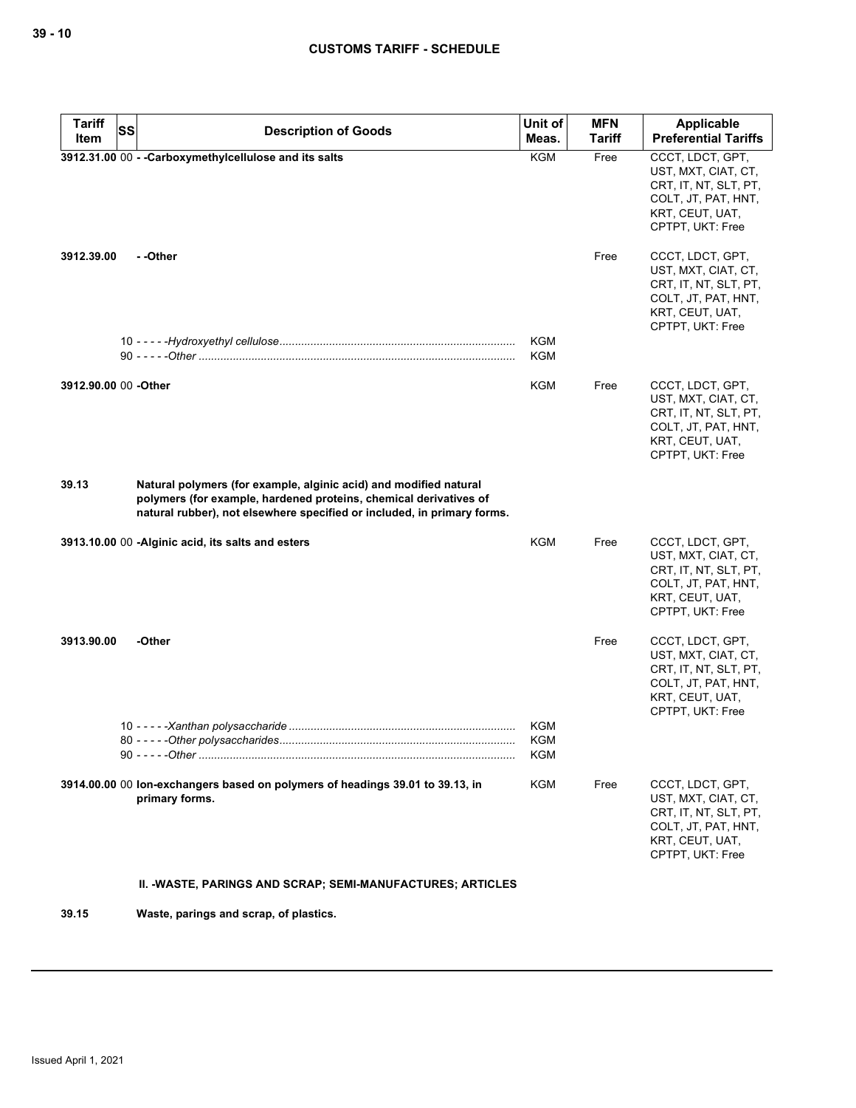| <b>Tariff</b>         | <b>SS</b><br><b>Description of Goods</b>                                                                                                                                                                          | Unit of                  | <b>MFN</b>    | <b>Applicable</b>                                                                                                              |
|-----------------------|-------------------------------------------------------------------------------------------------------------------------------------------------------------------------------------------------------------------|--------------------------|---------------|--------------------------------------------------------------------------------------------------------------------------------|
| Item                  |                                                                                                                                                                                                                   | Meas.                    | <b>Tariff</b> | <b>Preferential Tariffs</b>                                                                                                    |
|                       | 3912.31.00 00 - - Carboxymethylcellulose and its salts                                                                                                                                                            | <b>KGM</b>               | Free          | CCCT, LDCT, GPT,<br>UST, MXT, CIAT, CT,<br>CRT, IT, NT, SLT, PT,<br>COLT, JT, PAT, HNT,<br>KRT, CEUT, UAT,<br>CPTPT, UKT: Free |
| 3912.39.00            | - -Other                                                                                                                                                                                                          |                          | Free          | CCCT, LDCT, GPT,<br>UST, MXT, CIAT, CT,<br>CRT, IT, NT, SLT, PT,<br>COLT, JT, PAT, HNT,<br>KRT, CEUT, UAT,<br>CPTPT, UKT: Free |
|                       |                                                                                                                                                                                                                   | <b>KGM</b><br><b>KGM</b> |               |                                                                                                                                |
| 3912.90.00 00 - Other |                                                                                                                                                                                                                   | KGM                      | Free          | CCCT, LDCT, GPT,<br>UST, MXT, CIAT, CT,<br>CRT, IT, NT, SLT, PT,<br>COLT, JT, PAT, HNT,<br>KRT, CEUT, UAT,<br>CPTPT, UKT: Free |
| 39.13                 | Natural polymers (for example, alginic acid) and modified natural<br>polymers (for example, hardened proteins, chemical derivatives of<br>natural rubber), not elsewhere specified or included, in primary forms. |                          |               |                                                                                                                                |
|                       | 3913.10.00 00 -Alginic acid, its salts and esters                                                                                                                                                                 | KGM                      | Free          | CCCT, LDCT, GPT,<br>UST, MXT, CIAT, CT,<br>CRT, IT, NT, SLT, PT,<br>COLT, JT, PAT, HNT,<br>KRT, CEUT, UAT,<br>CPTPT, UKT: Free |
| 3913.90.00            | -Other                                                                                                                                                                                                            |                          | Free          | CCCT, LDCT, GPT,<br>UST, MXT, CIAT, CT,<br>CRT, IT, NT, SLT, PT,<br>COLT, JT, PAT, HNT,<br>KRT, CEUT, UAT,<br>CPTPT, UKT: Free |
|                       | 80 - - - - - Other polysaccharides.                                                                                                                                                                               | KGM<br>KGM<br>KGM        |               |                                                                                                                                |
|                       | 3914.00.00 00 lon-exchangers based on polymers of headings 39.01 to 39.13, in<br>primary forms.                                                                                                                   | <b>KGM</b>               | Free          | CCCT, LDCT, GPT,<br>UST, MXT, CIAT, CT,<br>CRT, IT, NT, SLT, PT,<br>COLT, JT, PAT, HNT,<br>KRT, CEUT, UAT,<br>CPTPT, UKT: Free |
|                       | II. -WASTE, PARINGS AND SCRAP; SEMI-MANUFACTURES; ARTICLES                                                                                                                                                        |                          |               |                                                                                                                                |
| 39.15                 | Waste, parings and scrap, of plastics.                                                                                                                                                                            |                          |               |                                                                                                                                |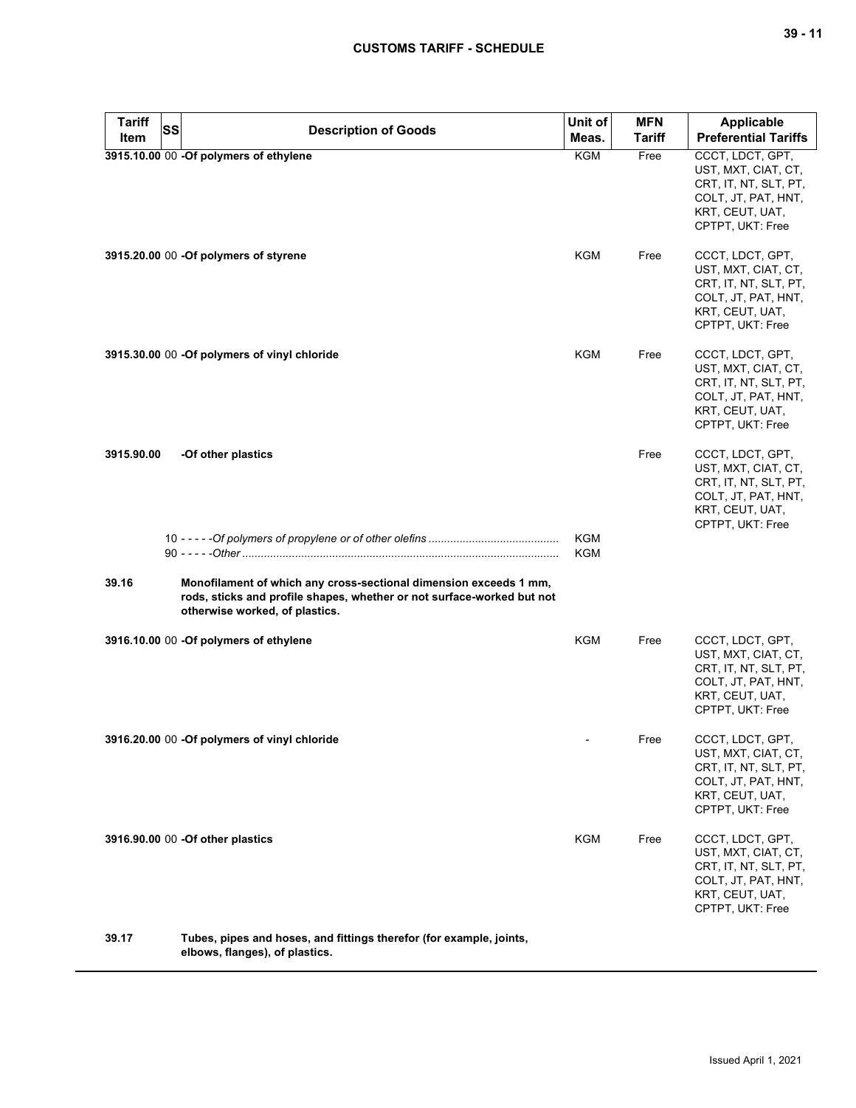| <b>Tariff</b> | <b>SS</b> | <b>Description of Goods</b>                                                                                                                                                   | Unit of                  | <b>MFN</b>    | <b>Applicable</b>                                                                                                              |
|---------------|-----------|-------------------------------------------------------------------------------------------------------------------------------------------------------------------------------|--------------------------|---------------|--------------------------------------------------------------------------------------------------------------------------------|
| Item          |           |                                                                                                                                                                               | Meas.                    | <b>Tariff</b> | <b>Preferential Tariffs</b>                                                                                                    |
|               |           | 3915.10.00 00 -Of polymers of ethylene                                                                                                                                        | <b>KGM</b>               | Free          | CCCT, LDCT, GPT,<br>UST, MXT, CIAT, CT,<br>CRT, IT, NT, SLT, PT,<br>COLT, JT, PAT, HNT,<br>KRT, CEUT, UAT,<br>CPTPT, UKT: Free |
|               |           | 3915.20.00 00 -Of polymers of styrene                                                                                                                                         | KGM                      | Free          | CCCT, LDCT, GPT,<br>UST, MXT, CIAT, CT,<br>CRT, IT, NT, SLT, PT,<br>COLT, JT, PAT, HNT,<br>KRT, CEUT, UAT,<br>CPTPT, UKT: Free |
|               |           | 3915.30.00 00 -Of polymers of vinyl chloride                                                                                                                                  | KGM                      | Free          | CCCT, LDCT, GPT,<br>UST, MXT, CIAT, CT,<br>CRT, IT, NT, SLT, PT,<br>COLT, JT, PAT, HNT,<br>KRT, CEUT, UAT,<br>CPTPT, UKT: Free |
| 3915.90.00    |           | -Of other plastics                                                                                                                                                            |                          | Free          | CCCT, LDCT, GPT,<br>UST, MXT, CIAT, CT,<br>CRT, IT, NT, SLT, PT,<br>COLT, JT, PAT, HNT,<br>KRT, CEUT, UAT,<br>CPTPT, UKT: Free |
|               |           |                                                                                                                                                                               | <b>KGM</b><br><b>KGM</b> |               |                                                                                                                                |
| 39.16         |           | Monofilament of which any cross-sectional dimension exceeds 1 mm,<br>rods, sticks and profile shapes, whether or not surface-worked but not<br>otherwise worked, of plastics. |                          |               |                                                                                                                                |
|               |           | 3916.10.00 00 -Of polymers of ethylene                                                                                                                                        | KGM                      | Free          | CCCT, LDCT, GPT,<br>UST, MXT, CIAT, CT,<br>CRT, IT, NT, SLT, PT,<br>COLT, JT, PAT, HNT,<br>KRT, CEUT, UAT,<br>CPTPT, UKT: Free |
|               |           | 3916.20.00 00 -Of polymers of vinyl chloride                                                                                                                                  |                          | Free          | CCCT, LDCT, GPT,<br>UST, MXT, CIAT, CT,<br>CRT, IT, NT, SLT, PT,<br>COLT, JT, PAT, HNT,<br>KRT, CEUT, UAT,<br>CPTPT, UKT: Free |
|               |           | 3916.90.00 00 -Of other plastics                                                                                                                                              | <b>KGM</b>               | Free          | CCCT, LDCT, GPT,<br>UST, MXT, CIAT, CT,<br>CRT, IT, NT, SLT, PT,<br>COLT, JT, PAT, HNT,<br>KRT, CEUT, UAT,<br>CPTPT, UKT: Free |
| 39.17         |           | Tubes, pipes and hoses, and fittings therefor (for example, joints,<br>elbows, flanges), of plastics.                                                                         |                          |               |                                                                                                                                |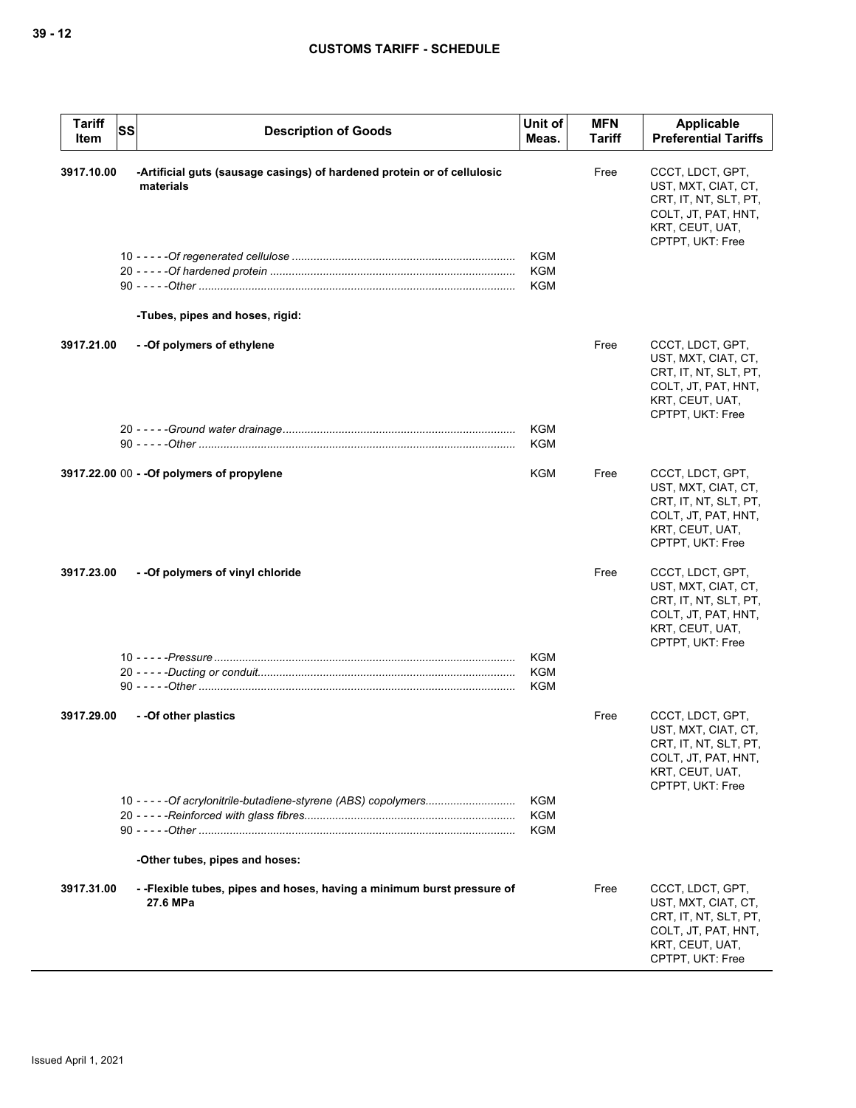| <b>Tariff</b><br><b>SS</b><br>Item | <b>Description of Goods</b>                                                                        | Unit of<br>Meas.                       | <b>MFN</b><br>Tariff | Applicable<br><b>Preferential Tariffs</b>                                                                                      |
|------------------------------------|----------------------------------------------------------------------------------------------------|----------------------------------------|----------------------|--------------------------------------------------------------------------------------------------------------------------------|
| 3917.10.00                         | -Artificial guts (sausage casings) of hardened protein or of cellulosic<br>materials               | <b>KGM</b><br><b>KGM</b><br><b>KGM</b> | Free                 | CCCT, LDCT, GPT,<br>UST, MXT, CIAT, CT,<br>CRT, IT, NT, SLT, PT,<br>COLT, JT, PAT, HNT,<br>KRT, CEUT, UAT,<br>CPTPT, UKT: Free |
|                                    | -Tubes, pipes and hoses, rigid:                                                                    |                                        |                      |                                                                                                                                |
| 3917.21.00                         | - - Of polymers of ethylene                                                                        |                                        | Free                 | CCCT, LDCT, GPT,<br>UST, MXT, CIAT, CT,<br>CRT, IT, NT, SLT, PT,<br>COLT, JT, PAT, HNT,<br>KRT, CEUT, UAT,<br>CPTPT, UKT: Free |
|                                    |                                                                                                    | <b>KGM</b><br><b>KGM</b>               |                      |                                                                                                                                |
|                                    | 3917.22.00 00 - - Of polymers of propylene                                                         | KGM                                    | Free                 | CCCT, LDCT, GPT,<br>UST, MXT, CIAT, CT,<br>CRT, IT, NT, SLT, PT,<br>COLT, JT, PAT, HNT,<br>KRT, CEUT, UAT,<br>CPTPT, UKT: Free |
| 3917.23.00                         | - - Of polymers of vinyl chloride                                                                  |                                        | Free                 | CCCT, LDCT, GPT,<br>UST, MXT, CIAT, CT,<br>CRT, IT, NT, SLT, PT,<br>COLT, JT, PAT, HNT,<br>KRT, CEUT, UAT,<br>CPTPT, UKT: Free |
|                                    |                                                                                                    | <b>KGM</b><br><b>KGM</b><br><b>KGM</b> |                      |                                                                                                                                |
| 3917.29.00                         | --Of other plastics                                                                                |                                        | Free                 | CCCT, LDCT, GPT,<br>UST, MXT, CIAT, CT,<br>CRT, IT, NT, SLT, PT,<br>COLT, JT, PAT, HNT,<br>KRT, CEUT, UAT,<br>CPTPT, UKT: Free |
|                                    | 10 - - - - - Of acrylonitrile-butadiene-styrene (ABS) copolymers<br>-Other tubes, pipes and hoses: | <b>KGM</b><br><b>KGM</b><br>KGM        |                      |                                                                                                                                |
| 3917.31.00                         | --Flexible tubes, pipes and hoses, having a minimum burst pressure of<br>27.6 MPa                  |                                        | Free                 | CCCT, LDCT, GPT,<br>UST, MXT, CIAT, CT,<br>CRT, IT, NT, SLT, PT,<br>COLT, JT, PAT, HNT,<br>KRT, CEUT, UAT,<br>CPTPT, UKT: Free |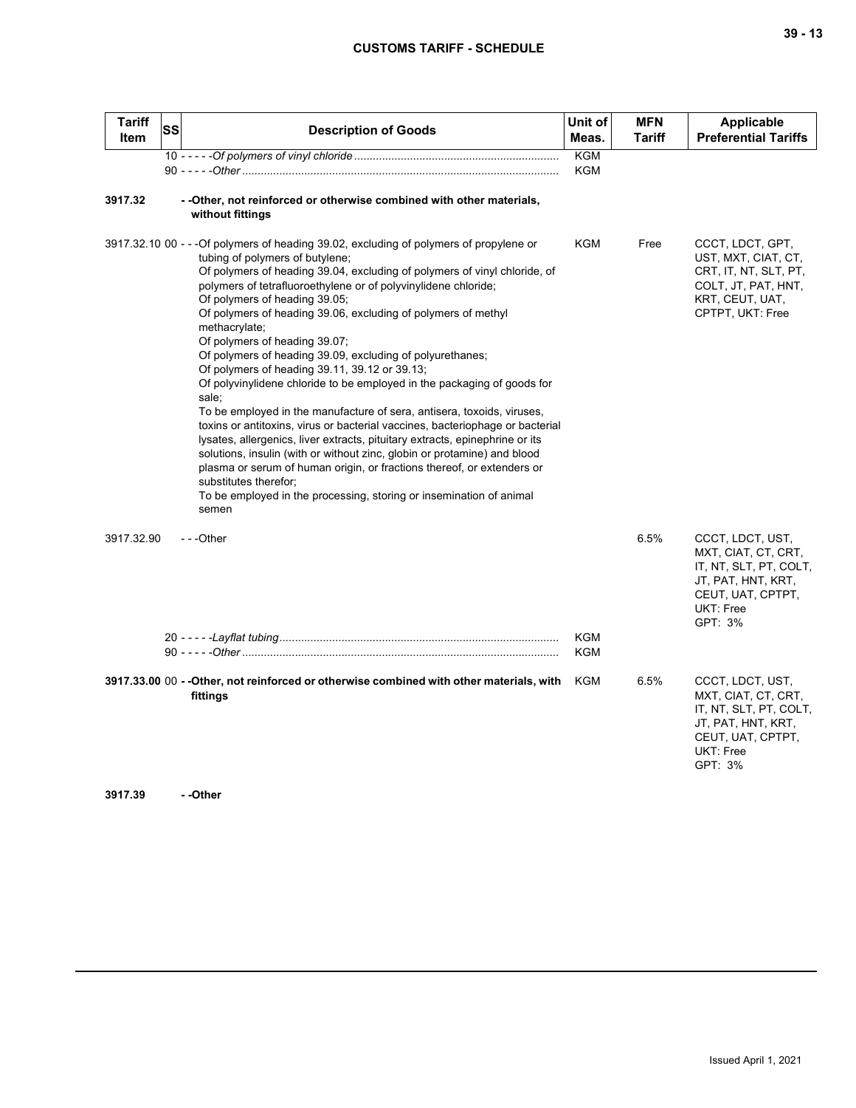| Tariff<br>SS<br>Item | <b>Description of Goods</b>                                                                                                                                                                                                                                                                                                                                                                                                                                                                                                                                                                                                                                                                                                                                                                                                                                                                                                                                                                                                                                                                                                               | Unit of<br>Meas.         | <b>MFN</b><br><b>Tariff</b> | <b>Applicable</b><br><b>Preferential Tariffs</b>                                                                                     |
|----------------------|-------------------------------------------------------------------------------------------------------------------------------------------------------------------------------------------------------------------------------------------------------------------------------------------------------------------------------------------------------------------------------------------------------------------------------------------------------------------------------------------------------------------------------------------------------------------------------------------------------------------------------------------------------------------------------------------------------------------------------------------------------------------------------------------------------------------------------------------------------------------------------------------------------------------------------------------------------------------------------------------------------------------------------------------------------------------------------------------------------------------------------------------|--------------------------|-----------------------------|--------------------------------------------------------------------------------------------------------------------------------------|
|                      |                                                                                                                                                                                                                                                                                                                                                                                                                                                                                                                                                                                                                                                                                                                                                                                                                                                                                                                                                                                                                                                                                                                                           | <b>KGM</b><br><b>KGM</b> |                             |                                                                                                                                      |
| 3917.32              | - -Other, not reinforced or otherwise combined with other materials,<br>without fittings                                                                                                                                                                                                                                                                                                                                                                                                                                                                                                                                                                                                                                                                                                                                                                                                                                                                                                                                                                                                                                                  |                          |                             |                                                                                                                                      |
|                      | 3917.32.10 00 - - - Of polymers of heading 39.02, excluding of polymers of propylene or<br>tubing of polymers of butylene;<br>Of polymers of heading 39.04, excluding of polymers of vinyl chloride, of<br>polymers of tetrafluoroethylene or of polyvinylidene chloride;<br>Of polymers of heading 39.05;<br>Of polymers of heading 39.06, excluding of polymers of methyl<br>methacrylate;<br>Of polymers of heading 39.07;<br>Of polymers of heading 39.09, excluding of polyurethanes;<br>Of polymers of heading 39.11, 39.12 or 39.13;<br>Of polyvinylidene chloride to be employed in the packaging of goods for<br>sale;<br>To be employed in the manufacture of sera, antisera, toxoids, viruses,<br>toxins or antitoxins, virus or bacterial vaccines, bacteriophage or bacterial<br>lysates, allergenics, liver extracts, pituitary extracts, epinephrine or its<br>solutions, insulin (with or without zinc, globin or protamine) and blood<br>plasma or serum of human origin, or fractions thereof, or extenders or<br>substitutes therefor;<br>To be employed in the processing, storing or insemination of animal<br>semen | <b>KGM</b>               | Free                        | CCCT, LDCT, GPT,<br>UST, MXT, CIAT, CT,<br>CRT, IT, NT, SLT, PT,<br>COLT, JT, PAT, HNT,<br>KRT, CEUT, UAT,<br>CPTPT, UKT: Free       |
| 3917.32.90           | ---Other                                                                                                                                                                                                                                                                                                                                                                                                                                                                                                                                                                                                                                                                                                                                                                                                                                                                                                                                                                                                                                                                                                                                  | <b>KGM</b><br>KGM        | 6.5%                        | CCCT, LDCT, UST,<br>MXT, CIAT, CT, CRT,<br>IT, NT, SLT, PT, COLT,<br>JT, PAT, HNT, KRT,<br>CEUT, UAT, CPTPT,<br>UKT: Free<br>GPT: 3% |
| 3917.39              | 3917.33.00 00 - - Other, not reinforced or otherwise combined with other materials, with<br>fittings<br>- -Other                                                                                                                                                                                                                                                                                                                                                                                                                                                                                                                                                                                                                                                                                                                                                                                                                                                                                                                                                                                                                          | KGM                      | 6.5%                        | CCCT, LDCT, UST,<br>MXT, CIAT, CT, CRT,<br>IT, NT, SLT, PT, COLT,<br>JT, PAT, HNT, KRT,<br>CEUT, UAT, CPTPT,<br>UKT: Free<br>GPT: 3% |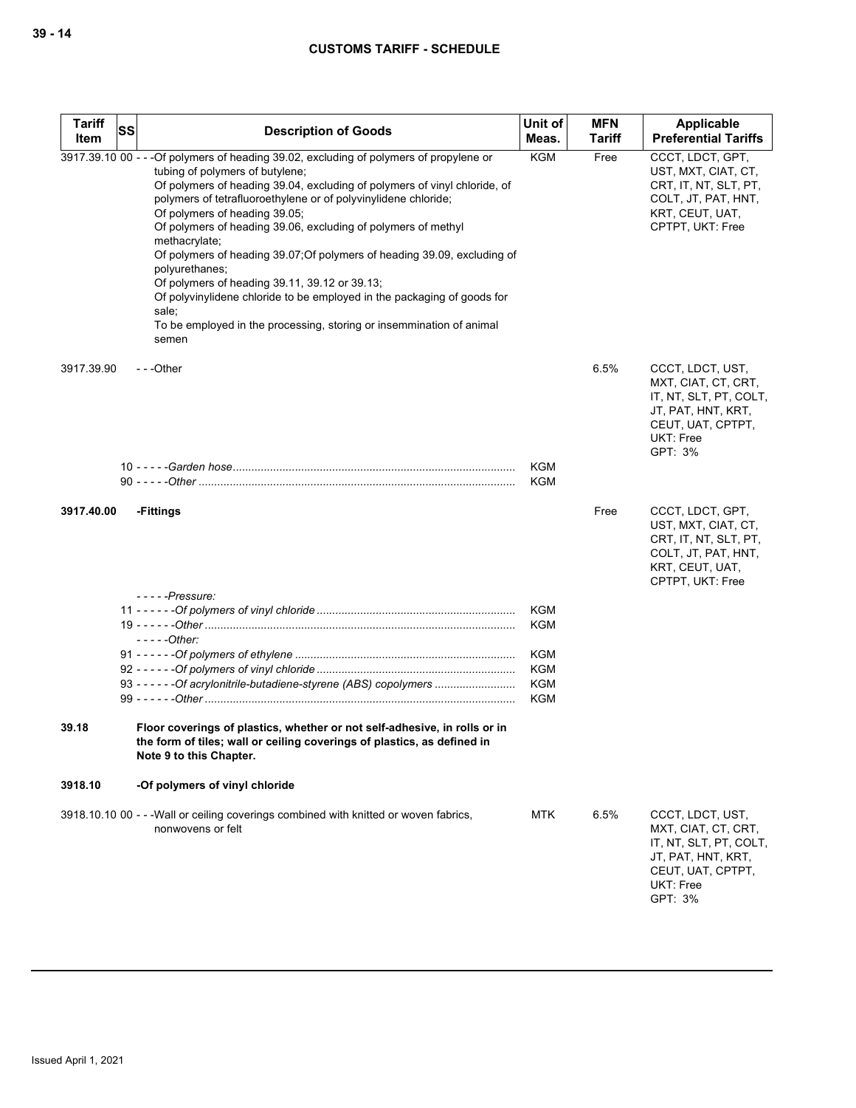| <b>Tariff</b><br>Item | <b>SS</b> | <b>Description of Goods</b>                                                                                                                                                                                                                                                                                                                                                                                                                                                                                                                                                                                                                                                                                      | Unit of<br>Meas.         | <b>MFN</b><br><b>Tariff</b> | Applicable<br><b>Preferential Tariffs</b>                                                                                            |
|-----------------------|-----------|------------------------------------------------------------------------------------------------------------------------------------------------------------------------------------------------------------------------------------------------------------------------------------------------------------------------------------------------------------------------------------------------------------------------------------------------------------------------------------------------------------------------------------------------------------------------------------------------------------------------------------------------------------------------------------------------------------------|--------------------------|-----------------------------|--------------------------------------------------------------------------------------------------------------------------------------|
|                       |           | 3917.39.10 00 - - - Of polymers of heading 39.02, excluding of polymers of propylene or<br>tubing of polymers of butylene;<br>Of polymers of heading 39.04, excluding of polymers of vinyl chloride, of<br>polymers of tetrafluoroethylene or of polyvinylidene chloride;<br>Of polymers of heading 39.05;<br>Of polymers of heading 39.06, excluding of polymers of methyl<br>methacrylate;<br>Of polymers of heading 39.07; Of polymers of heading 39.09, excluding of<br>polyurethanes;<br>Of polymers of heading 39.11, 39.12 or 39.13;<br>Of polyvinylidene chloride to be employed in the packaging of goods for<br>sale;<br>To be employed in the processing, storing or insemmination of animal<br>semen | <b>KGM</b>               | Free                        | CCCT, LDCT, GPT,<br>UST, MXT, CIAT, CT,<br>CRT, IT, NT, SLT, PT,<br>COLT, JT, PAT, HNT,<br>KRT, CEUT, UAT,<br>CPTPT, UKT: Free       |
| 3917.39.90            |           | $- -$ Other                                                                                                                                                                                                                                                                                                                                                                                                                                                                                                                                                                                                                                                                                                      |                          | 6.5%                        | CCCT, LDCT, UST,<br>MXT, CIAT, CT, CRT,<br>IT, NT, SLT, PT, COLT,<br>JT, PAT, HNT, KRT,<br>CEUT, UAT, CPTPT,<br>UKT: Free<br>GPT: 3% |
|                       |           |                                                                                                                                                                                                                                                                                                                                                                                                                                                                                                                                                                                                                                                                                                                  | <b>KGM</b><br><b>KGM</b> |                             |                                                                                                                                      |
| 3917.40.00            |           | -Fittings                                                                                                                                                                                                                                                                                                                                                                                                                                                                                                                                                                                                                                                                                                        |                          | Free                        | CCCT, LDCT, GPT,<br>UST, MXT, CIAT, CT,<br>CRT, IT, NT, SLT, PT,<br>COLT, JT, PAT, HNT,<br>KRT, CEUT, UAT,<br>CPTPT, UKT: Free       |
|                       |           | $-- -$ - Pressure:                                                                                                                                                                                                                                                                                                                                                                                                                                                                                                                                                                                                                                                                                               | <b>KGM</b>               |                             |                                                                                                                                      |
|                       |           |                                                                                                                                                                                                                                                                                                                                                                                                                                                                                                                                                                                                                                                                                                                  | <b>KGM</b>               |                             |                                                                                                                                      |
|                       |           | $---Other:$                                                                                                                                                                                                                                                                                                                                                                                                                                                                                                                                                                                                                                                                                                      |                          |                             |                                                                                                                                      |
|                       |           |                                                                                                                                                                                                                                                                                                                                                                                                                                                                                                                                                                                                                                                                                                                  | KGM                      |                             |                                                                                                                                      |
|                       |           |                                                                                                                                                                                                                                                                                                                                                                                                                                                                                                                                                                                                                                                                                                                  | <b>KGM</b>               |                             |                                                                                                                                      |
|                       |           | 93 - - - - - - Of acrylonitrile-butadiene-styrene (ABS) copolymers                                                                                                                                                                                                                                                                                                                                                                                                                                                                                                                                                                                                                                               | <b>KGM</b>               |                             |                                                                                                                                      |
|                       |           |                                                                                                                                                                                                                                                                                                                                                                                                                                                                                                                                                                                                                                                                                                                  | <b>KGM</b>               |                             |                                                                                                                                      |
| 39.18                 |           | Floor coverings of plastics, whether or not self-adhesive, in rolls or in<br>the form of tiles; wall or ceiling coverings of plastics, as defined in<br>Note 9 to this Chapter.                                                                                                                                                                                                                                                                                                                                                                                                                                                                                                                                  |                          |                             |                                                                                                                                      |
| 3918.10               |           | -Of polymers of vinyl chloride                                                                                                                                                                                                                                                                                                                                                                                                                                                                                                                                                                                                                                                                                   |                          |                             |                                                                                                                                      |
|                       |           | 3918.10.10 00 - - - Wall or ceiling coverings combined with knitted or woven fabrics,<br>nonwovens or felt                                                                                                                                                                                                                                                                                                                                                                                                                                                                                                                                                                                                       | <b>MTK</b>               | 6.5%                        | CCCT, LDCT, UST,<br>MXT, CIAT, CT, CRT,<br>IT, NT, SLT, PT, COLT,<br>JT, PAT, HNT, KRT,<br>CEUT, UAT, CPTPT,<br>UKT: Free<br>GPT: 3% |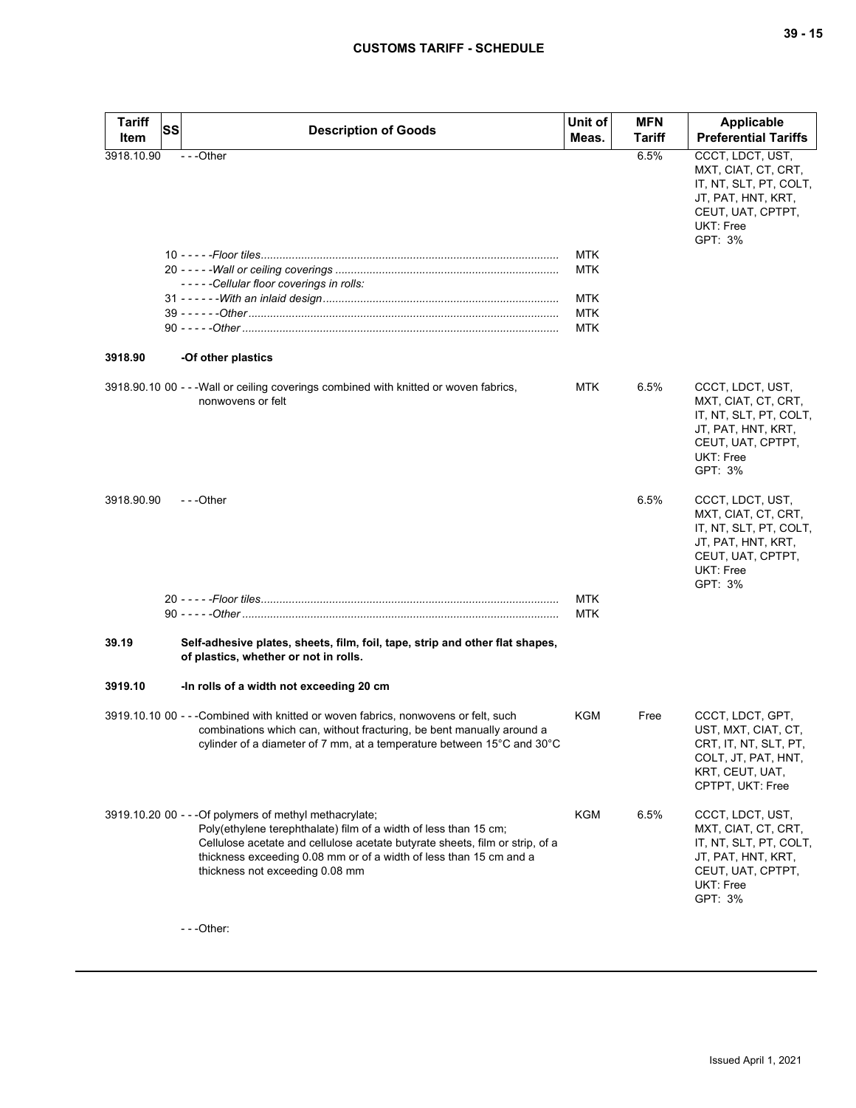| <b>Tariff</b> | <b>SS</b> | <b>Description of Goods</b>                                                                                                                                                                                                                                                                                          | Unit of           | <b>MFN</b>    | <b>Applicable</b>                                                                                                                           |
|---------------|-----------|----------------------------------------------------------------------------------------------------------------------------------------------------------------------------------------------------------------------------------------------------------------------------------------------------------------------|-------------------|---------------|---------------------------------------------------------------------------------------------------------------------------------------------|
| Item          |           |                                                                                                                                                                                                                                                                                                                      | Meas.             | <b>Tariff</b> | <b>Preferential Tariffs</b>                                                                                                                 |
| 3918.10.90    |           | ---Other                                                                                                                                                                                                                                                                                                             |                   | 6.5%          | CCCT, LDCT, UST,<br>MXT, CIAT, CT, CRT,<br>IT, NT, SLT, PT, COLT,<br>JT, PAT, HNT, KRT,<br>CEUT, UAT, CPTPT,<br>UKT: Free<br>GPT: 3%        |
|               |           |                                                                                                                                                                                                                                                                                                                      | <b>MTK</b>        |               |                                                                                                                                             |
|               |           | -----Cellular floor coverings in rolls:                                                                                                                                                                                                                                                                              | <b>MTK</b>        |               |                                                                                                                                             |
|               |           |                                                                                                                                                                                                                                                                                                                      | MTK               |               |                                                                                                                                             |
|               |           |                                                                                                                                                                                                                                                                                                                      | MTK               |               |                                                                                                                                             |
|               |           |                                                                                                                                                                                                                                                                                                                      | MTK               |               |                                                                                                                                             |
| 3918.90       |           | -Of other plastics                                                                                                                                                                                                                                                                                                   |                   |               |                                                                                                                                             |
|               |           | 3918.90.10 00 - - - Wall or ceiling coverings combined with knitted or woven fabrics,<br>nonwovens or felt                                                                                                                                                                                                           | <b>MTK</b>        | 6.5%          | CCCT, LDCT, UST,<br>MXT, CIAT, CT, CRT,<br>IT, NT, SLT, PT, COLT,<br>JT, PAT, HNT, KRT,<br>CEUT, UAT, CPTPT,<br><b>UKT: Free</b><br>GPT: 3% |
| 3918.90.90    |           | $- -$ Other                                                                                                                                                                                                                                                                                                          |                   | 6.5%          | CCCT, LDCT, UST,<br>MXT, CIAT, CT, CRT,<br>IT, NT, SLT, PT, COLT,<br>JT, PAT, HNT, KRT,<br>CEUT, UAT, CPTPT,<br>UKT: Free<br>GPT: 3%        |
|               |           |                                                                                                                                                                                                                                                                                                                      | <b>MTK</b><br>MTK |               |                                                                                                                                             |
| 39.19         |           | Self-adhesive plates, sheets, film, foil, tape, strip and other flat shapes,<br>of plastics, whether or not in rolls.                                                                                                                                                                                                |                   |               |                                                                                                                                             |
| 3919.10       |           | -In rolls of a width not exceeding 20 cm                                                                                                                                                                                                                                                                             |                   |               |                                                                                                                                             |
|               |           | 3919.10.10 00 - - -Combined with knitted or woven fabrics, nonwovens or felt, such<br>combinations which can, without fracturing, be bent manually around a<br>cylinder of a diameter of 7 mm, at a temperature between 15°C and 30°C                                                                                | KGM               | Free          | CCCT, LDCT, GPT,<br>UST, MXT, CIAT, CT,<br>CRT, IT, NT, SLT, PT,<br>COLT, JT, PAT, HNT,<br>KRT, CEUT, UAT,<br>CPTPT, UKT: Free              |
|               |           | 3919.10.20 00 - - - Of polymers of methyl methacrylate;<br>Poly(ethylene terephthalate) film of a width of less than 15 cm;<br>Cellulose acetate and cellulose acetate butyrate sheets, film or strip, of a<br>thickness exceeding 0.08 mm or of a width of less than 15 cm and a<br>thickness not exceeding 0.08 mm | KGM               | 6.5%          | CCCT, LDCT, UST,<br>MXT, CIAT, CT, CRT,<br>IT, NT, SLT, PT, COLT,<br>JT, PAT, HNT, KRT,<br>CEUT, UAT, CPTPT,<br>UKT: Free<br>GPT: 3%        |

- - -Other: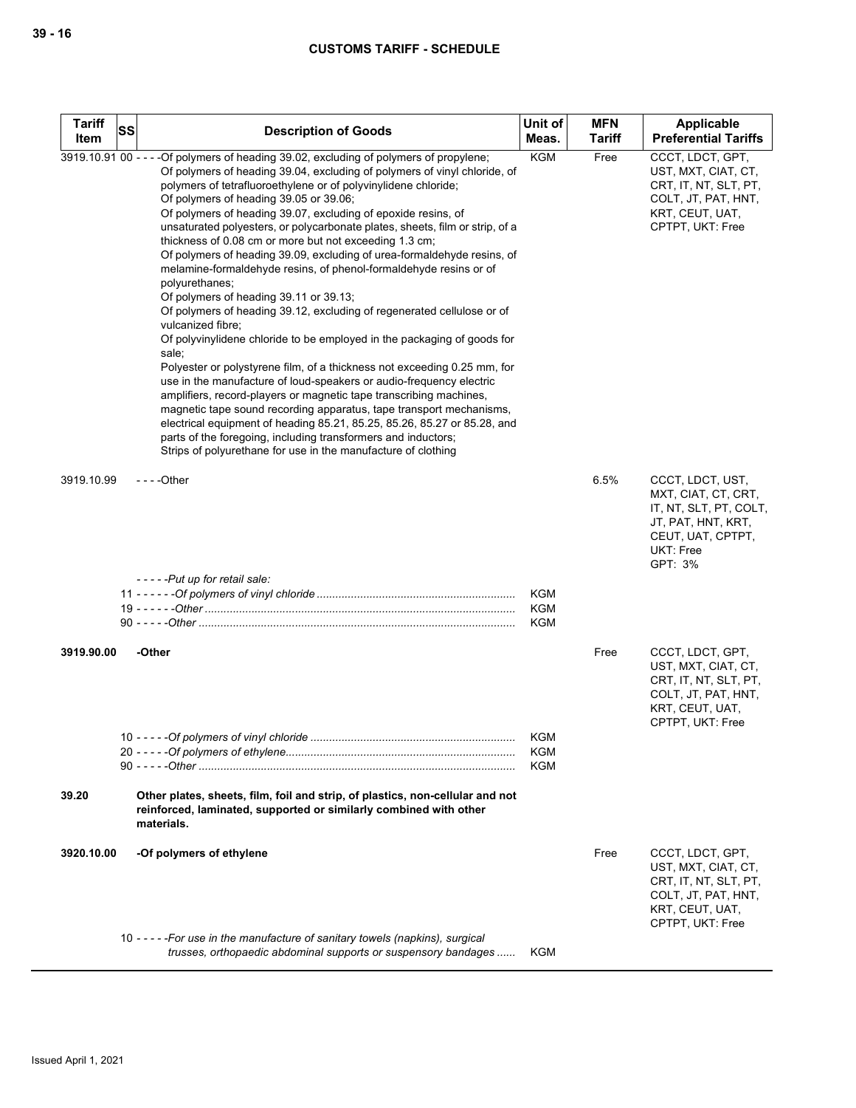| <b>Tariff</b><br>Item | <b>SS</b> | <b>Description of Goods</b>                                                                                                                                                                                                                                                                                                                                                                                                                                                                                                                                                                                                                                                                                                                                                                                                                                                                                                                                                                                                                                                                                                                                                                                                                                                                                                                                                                              | Unit of<br>Meas.                       | <b>MFN</b><br><b>Tariff</b> | Applicable<br><b>Preferential Tariffs</b>                                                                                            |
|-----------------------|-----------|----------------------------------------------------------------------------------------------------------------------------------------------------------------------------------------------------------------------------------------------------------------------------------------------------------------------------------------------------------------------------------------------------------------------------------------------------------------------------------------------------------------------------------------------------------------------------------------------------------------------------------------------------------------------------------------------------------------------------------------------------------------------------------------------------------------------------------------------------------------------------------------------------------------------------------------------------------------------------------------------------------------------------------------------------------------------------------------------------------------------------------------------------------------------------------------------------------------------------------------------------------------------------------------------------------------------------------------------------------------------------------------------------------|----------------------------------------|-----------------------------|--------------------------------------------------------------------------------------------------------------------------------------|
|                       |           | 3919.10.91 00 - - - - Of polymers of heading 39.02, excluding of polymers of propylene;<br>Of polymers of heading 39.04, excluding of polymers of vinyl chloride, of<br>polymers of tetrafluoroethylene or of polyvinylidene chloride;<br>Of polymers of heading 39.05 or 39.06;<br>Of polymers of heading 39.07, excluding of epoxide resins, of<br>unsaturated polyesters, or polycarbonate plates, sheets, film or strip, of a<br>thickness of 0.08 cm or more but not exceeding 1.3 cm;<br>Of polymers of heading 39.09, excluding of urea-formaldehyde resins, of<br>melamine-formaldehyde resins, of phenol-formaldehyde resins or of<br>polyurethanes;<br>Of polymers of heading 39.11 or 39.13;<br>Of polymers of heading 39.12, excluding of regenerated cellulose or of<br>vulcanized fibre;<br>Of polyvinylidene chloride to be employed in the packaging of goods for<br>sale;<br>Polyester or polystyrene film, of a thickness not exceeding 0.25 mm, for<br>use in the manufacture of loud-speakers or audio-frequency electric<br>amplifiers, record-players or magnetic tape transcribing machines,<br>magnetic tape sound recording apparatus, tape transport mechanisms,<br>electrical equipment of heading 85.21, 85.25, 85.26, 85.27 or 85.28, and<br>parts of the foregoing, including transformers and inductors;<br>Strips of polyurethane for use in the manufacture of clothing | <b>KGM</b>                             | Free                        | CCCT, LDCT, GPT,<br>UST, MXT, CIAT, CT,<br>CRT, IT, NT, SLT, PT,<br>COLT, JT, PAT, HNT,<br>KRT, CEUT, UAT,<br>CPTPT, UKT: Free       |
| 3919.10.99            |           | $--$ Other                                                                                                                                                                                                                                                                                                                                                                                                                                                                                                                                                                                                                                                                                                                                                                                                                                                                                                                                                                                                                                                                                                                                                                                                                                                                                                                                                                                               |                                        | 6.5%                        | CCCT, LDCT, UST,<br>MXT, CIAT, CT, CRT,<br>IT, NT, SLT, PT, COLT,<br>JT, PAT, HNT, KRT,<br>CEUT, UAT, CPTPT,<br>UKT: Free<br>GPT: 3% |
|                       |           | -----Put up for retail sale:                                                                                                                                                                                                                                                                                                                                                                                                                                                                                                                                                                                                                                                                                                                                                                                                                                                                                                                                                                                                                                                                                                                                                                                                                                                                                                                                                                             | <b>KGM</b><br><b>KGM</b><br><b>KGM</b> |                             |                                                                                                                                      |
| 3919.90.00            |           | -Other                                                                                                                                                                                                                                                                                                                                                                                                                                                                                                                                                                                                                                                                                                                                                                                                                                                                                                                                                                                                                                                                                                                                                                                                                                                                                                                                                                                                   | <b>KGM</b>                             | Free                        | CCCT, LDCT, GPT,<br>UST, MXT, CIAT, CT,<br>CRT, IT, NT, SLT, PT,<br>COLT, JT, PAT, HNT,<br>KRT, CEUT, UAT,<br>CPTPT, UKT: Free       |
| 39.20                 |           | Other plates, sheets, film, foil and strip, of plastics, non-cellular and not                                                                                                                                                                                                                                                                                                                                                                                                                                                                                                                                                                                                                                                                                                                                                                                                                                                                                                                                                                                                                                                                                                                                                                                                                                                                                                                            | <b>KGM</b><br><b>KGM</b>               |                             |                                                                                                                                      |
|                       |           | reinforced, laminated, supported or similarly combined with other<br>materials.                                                                                                                                                                                                                                                                                                                                                                                                                                                                                                                                                                                                                                                                                                                                                                                                                                                                                                                                                                                                                                                                                                                                                                                                                                                                                                                          |                                        |                             |                                                                                                                                      |
| 3920.10.00            |           | -Of polymers of ethylene                                                                                                                                                                                                                                                                                                                                                                                                                                                                                                                                                                                                                                                                                                                                                                                                                                                                                                                                                                                                                                                                                                                                                                                                                                                                                                                                                                                 |                                        | Free                        | CCCT, LDCT, GPT,<br>UST, MXT, CIAT, CT,<br>CRT, IT, NT, SLT, PT,<br>COLT, JT, PAT, HNT,<br>KRT, CEUT, UAT,<br>CPTPT, UKT: Free       |
|                       |           | 10 - - - - - For use in the manufacture of sanitary towels (napkins), surgical<br>trusses, orthopaedic abdominal supports or suspensory bandages                                                                                                                                                                                                                                                                                                                                                                                                                                                                                                                                                                                                                                                                                                                                                                                                                                                                                                                                                                                                                                                                                                                                                                                                                                                         | <b>KGM</b>                             |                             |                                                                                                                                      |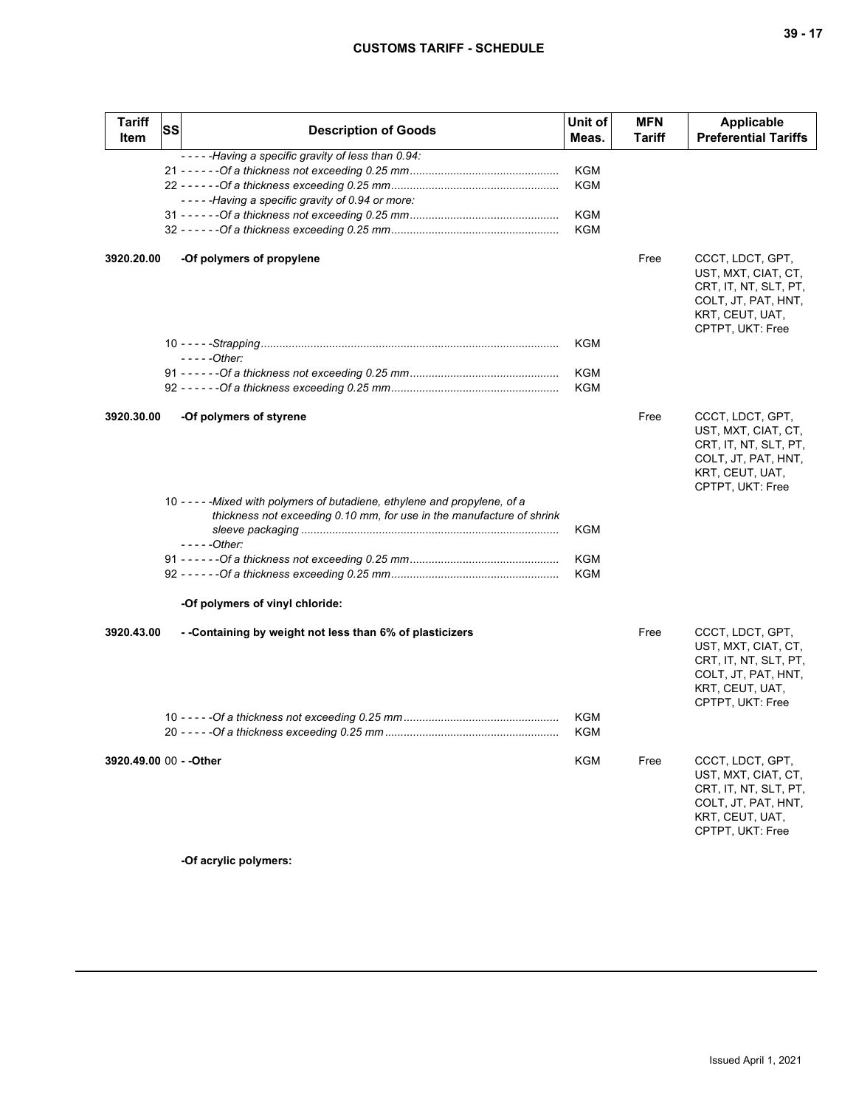| <b>Tariff</b><br>Item   | <b>SS</b> | <b>Description of Goods</b>                                                                                                                                         | Unit of<br>Meas.                              | <b>MFN</b><br>Tariff | <b>Applicable</b><br><b>Preferential Tariffs</b>                                                                               |
|-------------------------|-----------|---------------------------------------------------------------------------------------------------------------------------------------------------------------------|-----------------------------------------------|----------------------|--------------------------------------------------------------------------------------------------------------------------------|
|                         |           | -----Having a specific gravity of less than 0.94:<br>-----Having a specific gravity of 0.94 or more:                                                                | <b>KGM</b><br><b>KGM</b><br><b>KGM</b><br>KGM |                      |                                                                                                                                |
| 3920.20.00              |           | -Of polymers of propylene                                                                                                                                           |                                               | Free                 | CCCT, LDCT, GPT,<br>UST, MXT, CIAT, CT,<br>CRT, IT, NT, SLT, PT,<br>COLT, JT, PAT, HNT,<br>KRT, CEUT, UAT,<br>CPTPT, UKT: Free |
|                         |           |                                                                                                                                                                     | <b>KGM</b>                                    |                      |                                                                                                                                |
|                         |           | $---Other:$                                                                                                                                                         | <b>KGM</b>                                    |                      |                                                                                                                                |
|                         |           |                                                                                                                                                                     | KGM                                           |                      |                                                                                                                                |
| 3920.30.00              |           | -Of polymers of styrene                                                                                                                                             |                                               | Free                 | CCCT, LDCT, GPT,<br>UST, MXT, CIAT, CT,<br>CRT, IT, NT, SLT, PT,<br>COLT, JT, PAT, HNT,<br>KRT, CEUT, UAT,<br>CPTPT, UKT: Free |
|                         |           | 10 - - - - - Mixed with polymers of butadiene, ethylene and propylene, of a<br>thickness not exceeding 0.10 mm, for use in the manufacture of shrink<br>$---Other:$ | KGM                                           |                      |                                                                                                                                |
|                         |           |                                                                                                                                                                     | <b>KGM</b>                                    |                      |                                                                                                                                |
|                         |           |                                                                                                                                                                     | KGM                                           |                      |                                                                                                                                |
|                         |           | -Of polymers of vinyl chloride:                                                                                                                                     |                                               |                      |                                                                                                                                |
| 3920.43.00              |           | - -Containing by weight not less than 6% of plasticizers                                                                                                            |                                               | Free                 | CCCT, LDCT, GPT,<br>UST, MXT, CIAT, CT,<br>CRT, IT, NT, SLT, PT,<br>COLT, JT, PAT, HNT,<br>KRT, CEUT, UAT,<br>CPTPT, UKT: Free |
|                         |           |                                                                                                                                                                     | KGM<br>KGM                                    |                      |                                                                                                                                |
| 3920.49.00 00 - - Other |           |                                                                                                                                                                     | KGM                                           | Free                 | CCCT, LDCT, GPT,<br>UST, MXT, CIAT, CT,<br>CRT, IT, NT, SLT, PT,<br>COLT, JT, PAT, HNT,<br>KRT, CEUT, UAT,<br>CPTPT, UKT: Free |

**-Of acrylic polymers:**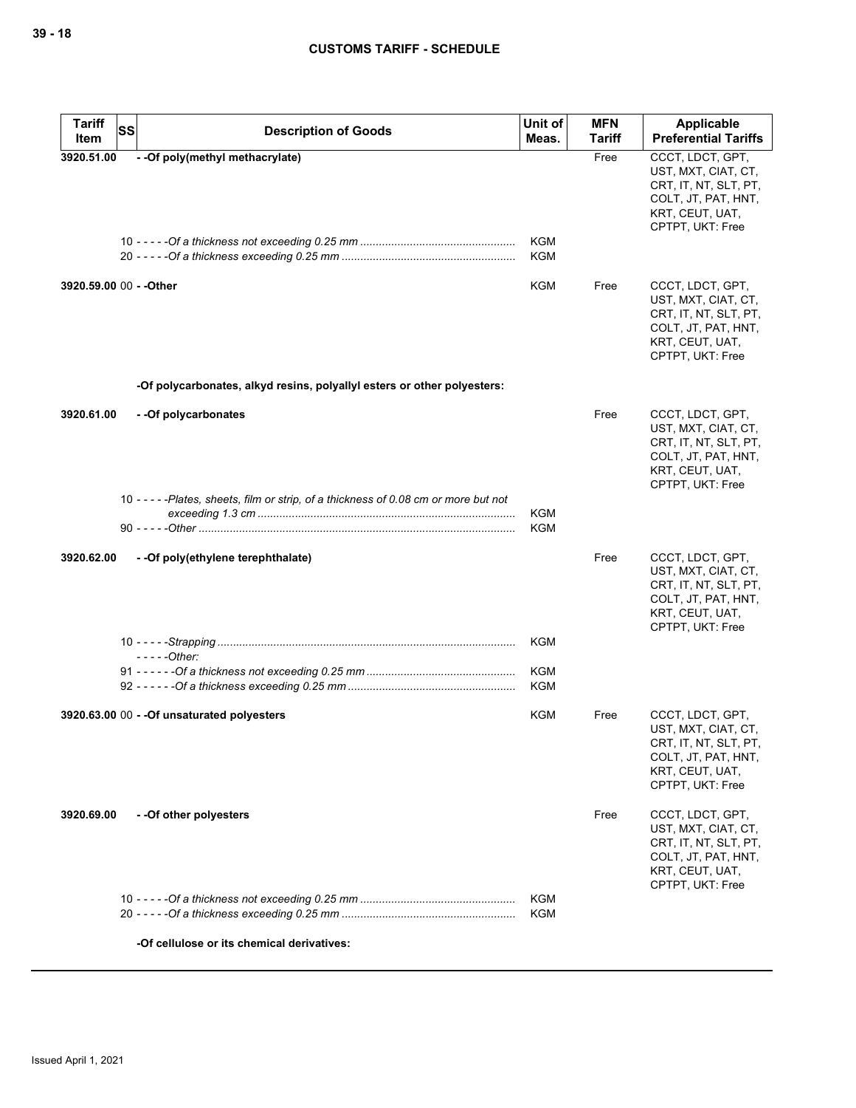| <b>Tariff</b><br><b>SS</b> | <b>Description of Goods</b>                                                           | Unit of                  | <b>MFN</b> | <b>Applicable</b>                                                                                                              |
|----------------------------|---------------------------------------------------------------------------------------|--------------------------|------------|--------------------------------------------------------------------------------------------------------------------------------|
| Item                       |                                                                                       | Meas.                    | Tariff     | <b>Preferential Tariffs</b>                                                                                                    |
| 3920.51.00                 | - - Of poly(methyl methacrylate)                                                      | <b>KGM</b><br><b>KGM</b> | Free       | CCCT, LDCT, GPT,<br>UST, MXT, CIAT, CT,<br>CRT, IT, NT, SLT, PT,<br>COLT, JT, PAT, HNT,<br>KRT, CEUT, UAT,<br>CPTPT, UKT: Free |
| 3920.59.00 00 - - Other    |                                                                                       | <b>KGM</b>               | Free       | CCCT, LDCT, GPT,<br>UST, MXT, CIAT, CT,<br>CRT, IT, NT, SLT, PT,<br>COLT, JT, PAT, HNT,<br>KRT, CEUT, UAT,<br>CPTPT, UKT: Free |
|                            | -Of polycarbonates, alkyd resins, polyallyl esters or other polyesters:               |                          |            |                                                                                                                                |
| 3920.61.00                 | - - Of polycarbonates                                                                 |                          | Free       | CCCT, LDCT, GPT,<br>UST, MXT, CIAT, CT,<br>CRT, IT, NT, SLT, PT,<br>COLT, JT, PAT, HNT,<br>KRT, CEUT, UAT,<br>CPTPT, UKT: Free |
|                            | 10 - - - - - Plates, sheets, film or strip, of a thickness of 0.08 cm or more but not | <b>KGM</b>               |            |                                                                                                                                |
|                            |                                                                                       | <b>KGM</b>               |            |                                                                                                                                |
| 3920.62.00                 | - - Of poly (ethylene terephthalate)                                                  |                          | Free       | CCCT, LDCT, GPT,<br>UST, MXT, CIAT, CT,<br>CRT, IT, NT, SLT, PT,<br>COLT, JT, PAT, HNT,<br>KRT, CEUT, UAT,<br>CPTPT, UKT: Free |
|                            |                                                                                       | KGM                      |            |                                                                                                                                |
|                            | $--$ - $-$ Other:                                                                     | KGM<br>KGM               |            |                                                                                                                                |
|                            | 3920.63.00 00 - - Of unsaturated polyesters                                           | <b>KGM</b>               | Free       | CCCT, LDCT, GPT,<br>UST, MXT, CIAT, CT,<br>CRI, II, NI, SLI, PI,<br>COLT, JT, PAT, HNT,<br>KRT, CEUT, UAT,<br>CPTPT, UKT: Free |
| 3920.69.00                 | --Of other polyesters                                                                 |                          | Free       | CCCT, LDCT, GPT,<br>UST, MXT, CIAT, CT,<br>CRT, IT, NT, SLT, PT,<br>COLT, JT, PAT, HNT,<br>KRT, CEUT, UAT,<br>CPTPT, UKT: Free |
|                            |                                                                                       | <b>KGM</b>               |            |                                                                                                                                |
|                            |                                                                                       | <b>KGM</b>               |            |                                                                                                                                |
|                            | -Of cellulose or its chemical derivatives:                                            |                          |            |                                                                                                                                |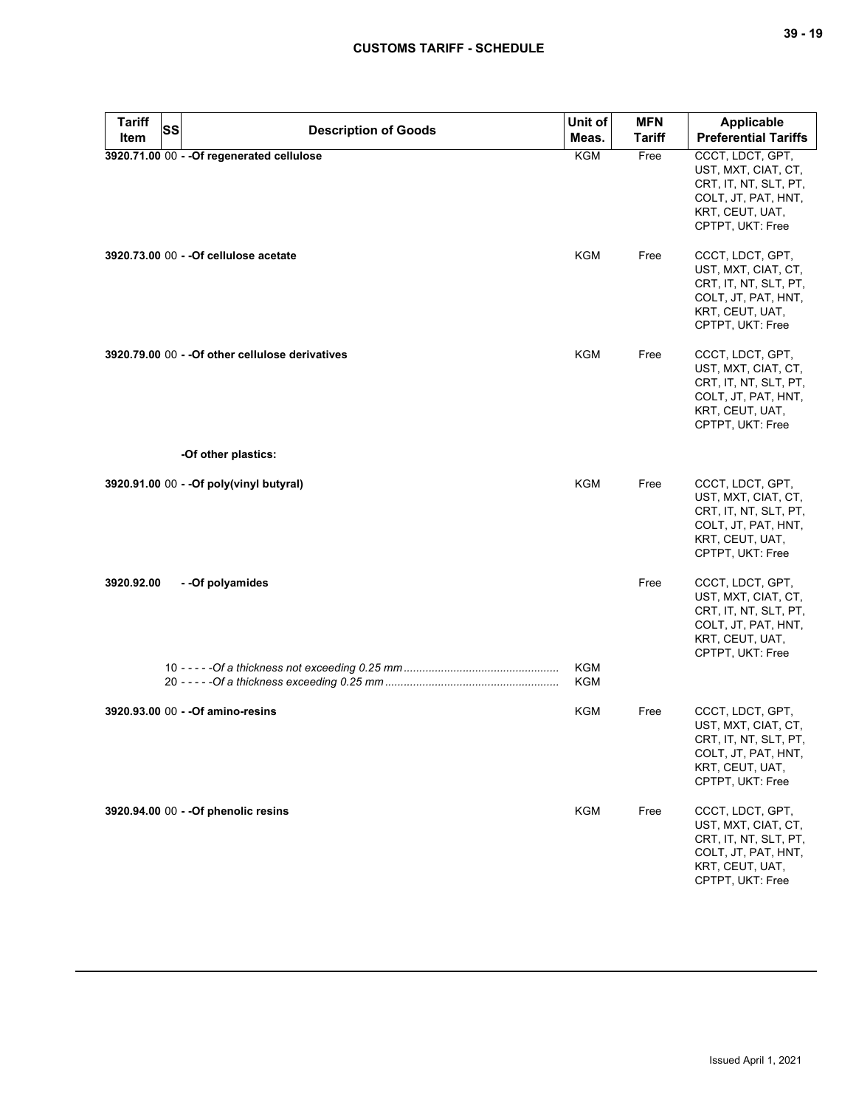| <b>Tariff</b> | <b>SS</b> | <b>Description of Goods</b>                      | Unit of    | <b>MFN</b>    | Applicable                                                                                                                     |
|---------------|-----------|--------------------------------------------------|------------|---------------|--------------------------------------------------------------------------------------------------------------------------------|
| Item          |           |                                                  | Meas.      | <b>Tariff</b> | <b>Preferential Tariffs</b>                                                                                                    |
|               |           | 3920.71.00 00 - - Of regenerated cellulose       | <b>KGM</b> | Free          | CCCT, LDCT, GPT,<br>UST, MXT, CIAT, CT,<br>CRT, IT, NT, SLT, PT,<br>COLT, JT, PAT, HNT,<br>KRT, CEUT, UAT,<br>CPTPT, UKT: Free |
|               |           | 3920.73.00 00 - - Of cellulose acetate           | KGM        | Free          | CCCT, LDCT, GPT,<br>UST, MXT, CIAT, CT,<br>CRT, IT, NT, SLT, PT,<br>COLT, JT, PAT, HNT,<br>KRT, CEUT, UAT,<br>CPTPT, UKT: Free |
|               |           | 3920.79.00 00 - - Of other cellulose derivatives | KGM        | Free          | CCCT, LDCT, GPT,<br>UST, MXT, CIAT, CT,<br>CRT, IT, NT, SLT, PT,<br>COLT, JT, PAT, HNT,<br>KRT, CEUT, UAT,<br>CPTPT, UKT: Free |
|               |           | -Of other plastics:                              |            |               |                                                                                                                                |
|               |           | 3920.91.00 00 - - Of poly(vinyl butyral)         | <b>KGM</b> | Free          | CCCT, LDCT, GPT,<br>UST, MXT, CIAT, CT,<br>CRT, IT, NT, SLT, PT,<br>COLT, JT, PAT, HNT,<br>KRT, CEUT, UAT,<br>CPTPT, UKT: Free |
| 3920.92.00    |           | - - Of polyamides                                |            | Free          | CCCT, LDCT, GPT,<br>UST, MXT, CIAT, CT,<br>CRT, IT, NT, SLT, PT,<br>COLT, JT, PAT, HNT,<br>KRT, CEUT, UAT,<br>CPTPT, UKT: Free |
|               |           |                                                  | KGM<br>KGM |               |                                                                                                                                |
|               |           | 3920.93.00 00 - - Of amino-resins                | KGM        | Free          | CCCT, LDCT, GPT,<br>UST, MXT, CIAT, CT,<br>CRT, IT, NT, SLT, PT,<br>COLT, JT, PAT, HNT,<br>KRT, CEUT, UAT,<br>CPTPT, UKT: Free |
|               |           | 3920.94.00 00 - - Of phenolic resins             | KGM        | Free          | CCCT, LDCT, GPT,<br>UST, MXT, CIAT, CT,<br>CRT, IT, NT, SLT, PT,<br>COLT, JT, PAT, HNT,<br>KRT, CEUT, UAT,<br>CPTPT, UKT: Free |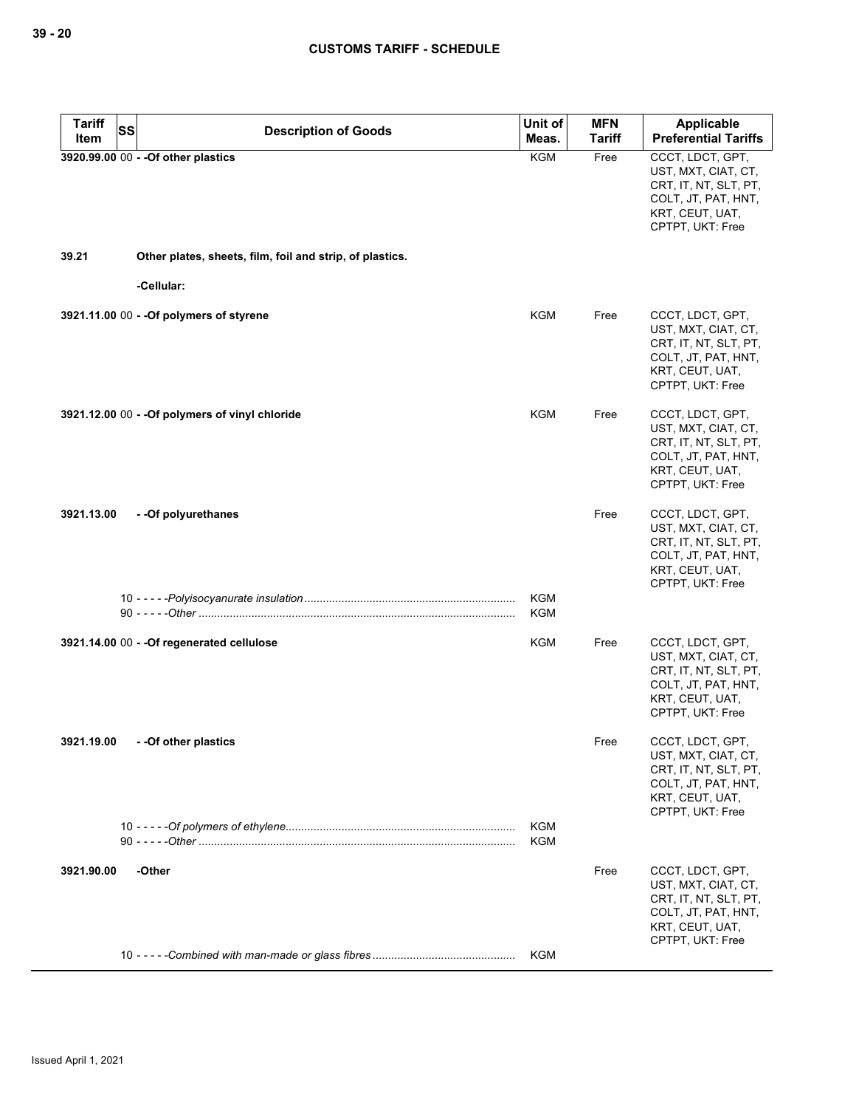| <b>Tariff</b> | <b>SS</b>                                                | Unit of                  | <b>MFN</b>    | Applicable                                                                                                                     |
|---------------|----------------------------------------------------------|--------------------------|---------------|--------------------------------------------------------------------------------------------------------------------------------|
| Item          | <b>Description of Goods</b>                              | Meas.                    | <b>Tariff</b> | <b>Preferential Tariffs</b>                                                                                                    |
|               | 3920.99.00 00 - - Of other plastics                      | <b>KGM</b>               | Free          | CCCT, LDCT, GPT,<br>UST, MXT, CIAT, CT,<br>CRT, IT, NT, SLT, PT,<br>COLT, JT, PAT, HNT,<br>KRT, CEUT, UAT,<br>CPTPT, UKT: Free |
| 39.21         | Other plates, sheets, film, foil and strip, of plastics. |                          |               |                                                                                                                                |
|               | -Cellular:                                               |                          |               |                                                                                                                                |
|               | 3921.11.00 00 - - Of polymers of styrene                 | <b>KGM</b>               | Free          | CCCT, LDCT, GPT,<br>UST, MXT, CIAT, CT,<br>CRT, IT, NT, SLT, PT,<br>COLT, JT, PAT, HNT,<br>KRT, CEUT, UAT,<br>CPTPT, UKT: Free |
|               | 3921.12.00 00 - - Of polymers of vinyl chloride          | <b>KGM</b>               | Free          | CCCT, LDCT, GPT,<br>UST, MXT, CIAT, CT,<br>CRT, IT, NT, SLT, PT,<br>COLT, JT, PAT, HNT,<br>KRT, CEUT, UAT,<br>CPTPT, UKT: Free |
| 3921.13.00    | - - Of polyurethanes                                     |                          | Free          | CCCT, LDCT, GPT,<br>UST, MXT, CIAT, CT,<br>CRT, IT, NT, SLT, PT,<br>COLT, JT, PAT, HNT,<br>KRT, CEUT, UAT,<br>CPTPT, UKT: Free |
|               |                                                          | <b>KGM</b><br><b>KGM</b> |               |                                                                                                                                |
|               | 3921.14.00 00 - - Of regenerated cellulose               | <b>KGM</b>               | Free          | CCCT, LDCT, GPT,<br>UST, MXT, CIAT, CT,<br>CRT, IT, NT, SLT, PT,<br>COLT, JT, PAT, HNT,<br>KRT, CEUT, UAT,<br>CPTPT, UKT: Free |
| 3921.19.00    | - -Of other plastics                                     |                          | Free          | CCCT, LDCT, GPT,<br>UST, MXT, CIAT, CT,<br>CRT, IT, NT, SLT, PT,<br>COLT, JT, PAT, HNT,<br>KRT, CEUT, UAT,<br>CPTPT, UKT: Free |
|               |                                                          | <b>KGM</b><br><b>KGM</b> |               |                                                                                                                                |
| 3921.90.00    | -Other                                                   |                          | Free          | CCCT, LDCT, GPT,<br>UST, MXT, CIAT, CT,<br>CRT, IT, NT, SLT, PT,<br>COLT, JT, PAT, HNT,<br>KRT, CEUT, UAT,<br>CPTPT, UKT: Free |
|               |                                                          | KGM                      |               |                                                                                                                                |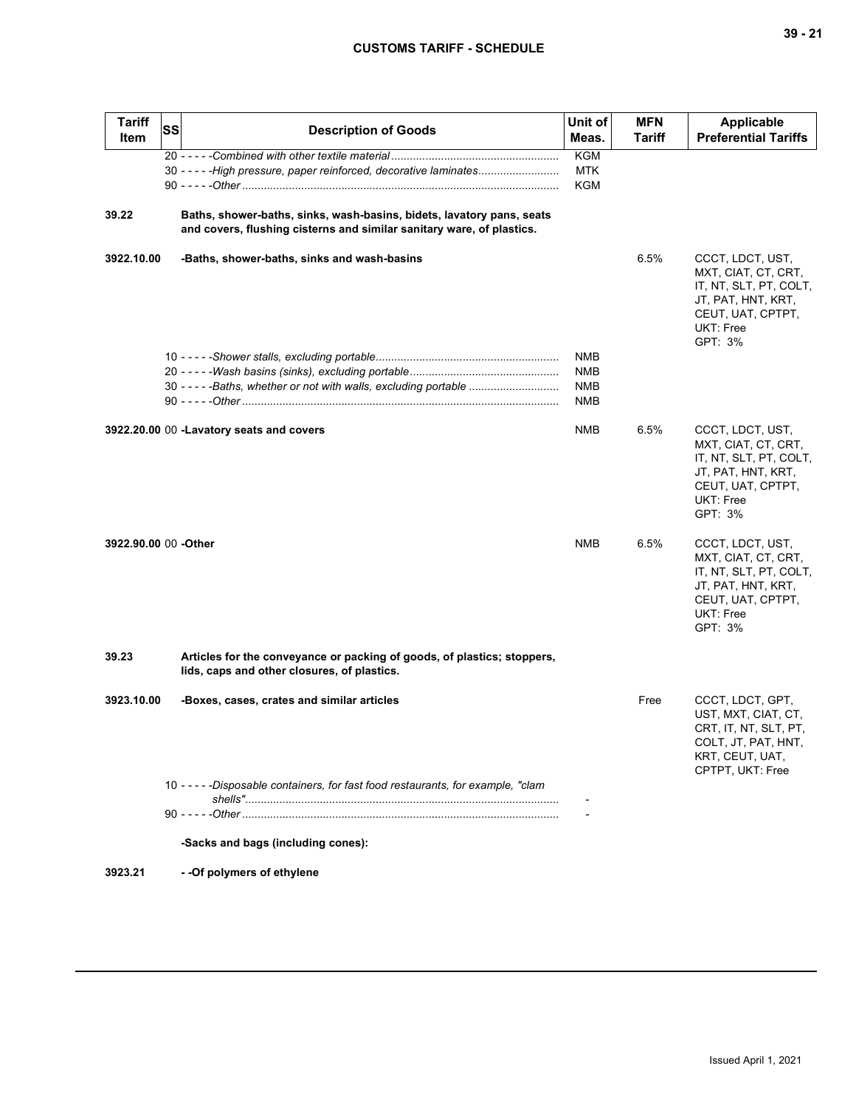| <b>Tariff</b><br>Item | <b>SS</b> | <b>Description of Goods</b>                                                                                                                    | Unit of<br>Meas.                       | <b>MFN</b><br>Tariff | <b>Applicable</b><br><b>Preferential Tariffs</b>                                                                                     |
|-----------------------|-----------|------------------------------------------------------------------------------------------------------------------------------------------------|----------------------------------------|----------------------|--------------------------------------------------------------------------------------------------------------------------------------|
|                       |           | 30 - - - - - High pressure, paper reinforced, decorative laminates                                                                             | <b>KGM</b><br>MTK<br><b>KGM</b>        |                      |                                                                                                                                      |
| 39.22                 |           | Baths, shower-baths, sinks, wash-basins, bidets, lavatory pans, seats<br>and covers, flushing cisterns and similar sanitary ware, of plastics. |                                        |                      |                                                                                                                                      |
| 3922.10.00            |           | -Baths, shower-baths, sinks and wash-basins                                                                                                    |                                        | 6.5%                 | CCCT, LDCT, UST,<br>MXT, CIAT, CT, CRT,<br>IT, NT, SLT, PT, COLT,<br>JT, PAT, HNT, KRT,<br>CEUT, UAT, CPTPT,<br>UKT: Free<br>GPT: 3% |
|                       |           | 30 - - - - - Baths, whether or not with walls, excluding portable                                                                              | NMB<br><b>NMB</b><br><b>NMB</b><br>NMB |                      |                                                                                                                                      |
|                       |           | 3922.20.00 00 -Lavatory seats and covers                                                                                                       | <b>NMB</b>                             | 6.5%                 | CCCT, LDCT, UST,<br>MXT, CIAT, CT, CRT,<br>IT, NT, SLT, PT, COLT,<br>JT, PAT, HNT, KRT,<br>CEUT, UAT, CPTPT,<br>UKT: Free<br>GPT: 3% |
| 3922.90.00 00 - Other |           |                                                                                                                                                | <b>NMB</b>                             | 6.5%                 | CCCT, LDCT, UST,<br>MXT, CIAT, CT, CRT,<br>IT, NT, SLT, PT, COLT,<br>JT, PAT, HNT, KRT,<br>CEUT, UAT, CPTPT,<br>UKT: Free<br>GPT: 3% |
| 39.23                 |           | Articles for the conveyance or packing of goods, of plastics; stoppers,<br>lids, caps and other closures, of plastics.                         |                                        |                      |                                                                                                                                      |
| 3923.10.00            |           | -Boxes, cases, crates and similar articles                                                                                                     |                                        | Free                 | CCCT, LDCT, GPT,<br>UST, MXT, CIAT, CT,<br>CRT, IT, NT, SLT, PT,<br>COLT, JT, PAT, HNT,<br>KRT, CEUT, UAT,<br>CPTPT, UKT: Free       |
|                       |           | 10 - - - - - Disposable containers, for fast food restaurants, for example, "clam                                                              |                                        |                      |                                                                                                                                      |
|                       |           | -Sacks and bags (including cones):                                                                                                             |                                        |                      |                                                                                                                                      |
| 3923.21               |           | - - Of polymers of ethylene                                                                                                                    |                                        |                      |                                                                                                                                      |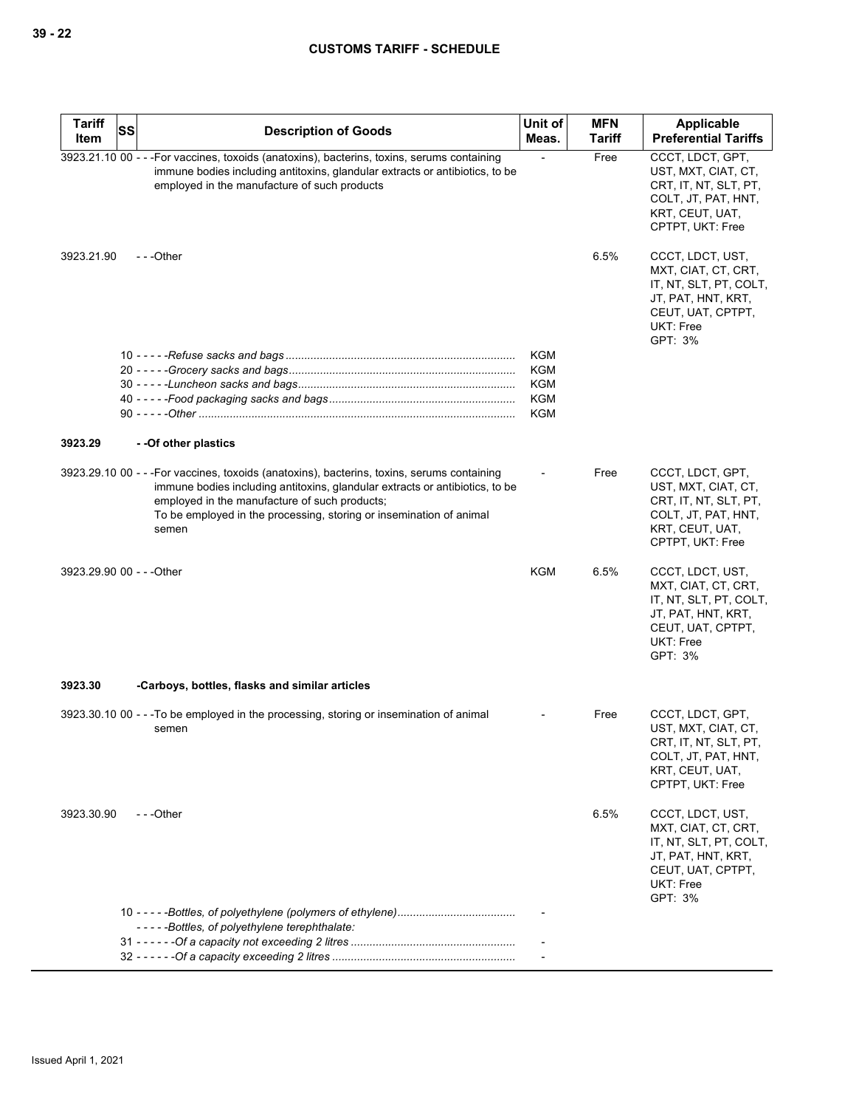| <b>Tariff</b> | SS | <b>Description of Goods</b>                                                                                                                                                                                                                                                                                  | Unit of                  | <b>MFN</b>    | Applicable                                                                                                                           |
|---------------|----|--------------------------------------------------------------------------------------------------------------------------------------------------------------------------------------------------------------------------------------------------------------------------------------------------------------|--------------------------|---------------|--------------------------------------------------------------------------------------------------------------------------------------|
| Item          |    |                                                                                                                                                                                                                                                                                                              | Meas.                    | <b>Tariff</b> | <b>Preferential Tariffs</b>                                                                                                          |
|               |    | 3923.21.10 00 - - - For vaccines, toxoids (anatoxins), bacterins, toxins, serums containing<br>immune bodies including antitoxins, glandular extracts or antibiotics, to be<br>employed in the manufacture of such products                                                                                  |                          | Free          | CCCT, LDCT, GPT,<br>UST, MXT, CIAT, CT,<br>CRT, IT, NT, SLT, PT,<br>COLT, JT, PAT, HNT,<br>KRT, CEUT, UAT,<br>CPTPT, UKT: Free       |
| 3923.21.90    |    | ---Other                                                                                                                                                                                                                                                                                                     |                          | 6.5%          | CCCT, LDCT, UST,<br>MXT, CIAT, CT, CRT,<br>IT, NT, SLT, PT, COLT,<br>JT, PAT, HNT, KRT,<br>CEUT, UAT, CPTPT,<br>UKT: Free<br>GPT: 3% |
|               |    |                                                                                                                                                                                                                                                                                                              | KGM                      |               |                                                                                                                                      |
|               |    |                                                                                                                                                                                                                                                                                                              | <b>KGM</b>               |               |                                                                                                                                      |
|               |    |                                                                                                                                                                                                                                                                                                              | <b>KGM</b><br><b>KGM</b> |               |                                                                                                                                      |
|               |    |                                                                                                                                                                                                                                                                                                              | <b>KGM</b>               |               |                                                                                                                                      |
| 3923.29       |    | --Of other plastics                                                                                                                                                                                                                                                                                          |                          |               |                                                                                                                                      |
|               |    | 3923.29.10 00 - - - For vaccines, toxoids (anatoxins), bacterins, toxins, serums containing<br>immune bodies including antitoxins, glandular extracts or antibiotics, to be<br>employed in the manufacture of such products;<br>To be employed in the processing, storing or insemination of animal<br>semen |                          | Free          | CCCT, LDCT, GPT,<br>UST, MXT, CIAT, CT,<br>CRT, IT, NT, SLT, PT,<br>COLT, JT, PAT, HNT,<br>KRT, CEUT, UAT,<br>CPTPT, UKT: Free       |
|               |    | 3923.29.90 00 - - - Other                                                                                                                                                                                                                                                                                    | KGM                      | 6.5%          | CCCT, LDCT, UST,<br>MXT, CIAT, CT, CRT,<br>IT, NT, SLT, PT, COLT,<br>JT, PAT, HNT, KRT,<br>CEUT, UAT, CPTPT,<br>UKT: Free<br>GPT: 3% |
| 3923.30       |    | -Carboys, bottles, flasks and similar articles                                                                                                                                                                                                                                                               |                          |               |                                                                                                                                      |
|               |    | 3923.30.10 00 - - -To be employed in the processing, storing or insemination of animal<br>semen                                                                                                                                                                                                              |                          | Free          | CCCT, LDCT, GPT,<br>UST, MXT, CIAT, CT,<br>CHI, II, NI, SLI, PI,<br>COLT, JT, PAT, HNT,<br>KRT, CEUT, UAT,<br>CPTPT, UKT: Free       |
| 3923.30.90    |    | $- -$ Other                                                                                                                                                                                                                                                                                                  |                          | 6.5%          | CCCT, LDCT, UST,<br>MXT, CIAT, CT, CRT,<br>IT, NT, SLT, PT, COLT,<br>JT, PAT, HNT, KRT,<br>CEUT, UAT, CPTPT,<br>UKT: Free<br>GPT: 3% |
|               |    | -----Bottles, of polyethylene terephthalate:                                                                                                                                                                                                                                                                 |                          |               |                                                                                                                                      |
|               |    |                                                                                                                                                                                                                                                                                                              |                          |               |                                                                                                                                      |
|               |    |                                                                                                                                                                                                                                                                                                              |                          |               |                                                                                                                                      |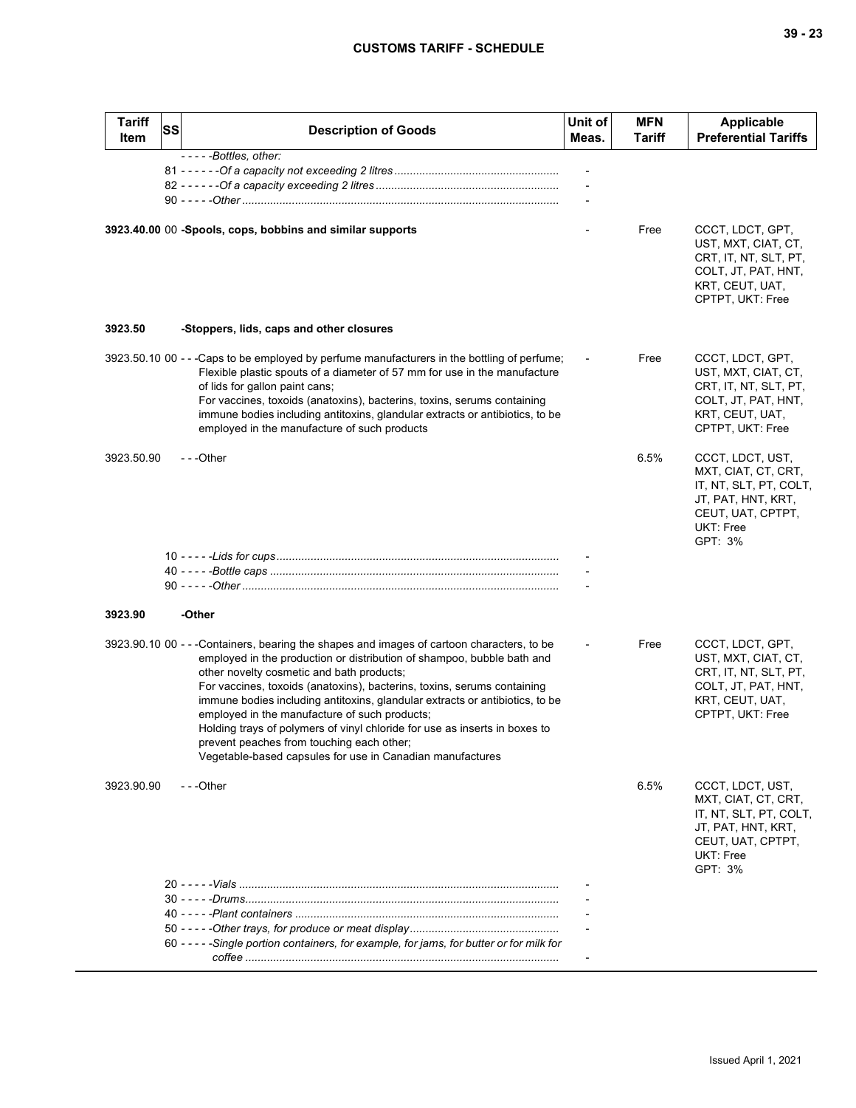| M.<br>۰.<br>×<br>۰, |  | ×<br>۰. |
|---------------------|--|---------|
|---------------------|--|---------|

| <b>Tariff</b><br>Item | SS | <b>Description of Goods</b>                                                                                                                                                                                                                                                                                                                                                                                                                                                                                                                                                                                          | Unit of<br>Meas. | <b>MFN</b><br><b>Tariff</b> | <b>Applicable</b><br><b>Preferential Tariffs</b>                                                                                     |
|-----------------------|----|----------------------------------------------------------------------------------------------------------------------------------------------------------------------------------------------------------------------------------------------------------------------------------------------------------------------------------------------------------------------------------------------------------------------------------------------------------------------------------------------------------------------------------------------------------------------------------------------------------------------|------------------|-----------------------------|--------------------------------------------------------------------------------------------------------------------------------------|
|                       |    | -----Bottles, other:                                                                                                                                                                                                                                                                                                                                                                                                                                                                                                                                                                                                 |                  |                             |                                                                                                                                      |
|                       |    | 3923.40.00 00 -Spools, cops, bobbins and similar supports                                                                                                                                                                                                                                                                                                                                                                                                                                                                                                                                                            |                  | Free                        | CCCT, LDCT, GPT,<br>UST, MXT, CIAT, CT,<br>CRT, IT, NT, SLT, PT,<br>COLT, JT, PAT, HNT,<br>KRT, CEUT, UAT,<br>CPTPT, UKT: Free       |
| 3923.50               |    | -Stoppers, lids, caps and other closures                                                                                                                                                                                                                                                                                                                                                                                                                                                                                                                                                                             |                  |                             |                                                                                                                                      |
|                       |    | 3923.50.10 00 - - - Caps to be employed by perfume manufacturers in the bottling of perfume;<br>Flexible plastic spouts of a diameter of 57 mm for use in the manufacture<br>of lids for gallon paint cans;<br>For vaccines, toxoids (anatoxins), bacterins, toxins, serums containing<br>immune bodies including antitoxins, glandular extracts or antibiotics, to be<br>employed in the manufacture of such products                                                                                                                                                                                               |                  | Free                        | CCCT, LDCT, GPT,<br>UST, MXT, CIAT, CT,<br>CRT, IT, NT, SLT, PT,<br>COLT, JT, PAT, HNT,<br>KRT, CEUT, UAT,<br>CPTPT, UKT: Free       |
| 3923.50.90            |    | ---Other                                                                                                                                                                                                                                                                                                                                                                                                                                                                                                                                                                                                             |                  | 6.5%                        | CCCT, LDCT, UST,<br>MXT, CIAT, CT, CRT,<br>IT, NT, SLT, PT, COLT,<br>JT, PAT, HNT, KRT,<br>CEUT, UAT, CPTPT,<br>UKT: Free<br>GPT: 3% |
|                       |    |                                                                                                                                                                                                                                                                                                                                                                                                                                                                                                                                                                                                                      |                  |                             |                                                                                                                                      |
|                       |    |                                                                                                                                                                                                                                                                                                                                                                                                                                                                                                                                                                                                                      |                  |                             |                                                                                                                                      |
| 3923.90               |    | -Other                                                                                                                                                                                                                                                                                                                                                                                                                                                                                                                                                                                                               |                  |                             |                                                                                                                                      |
|                       |    | 3923.90.10 00 - - -Containers, bearing the shapes and images of cartoon characters, to be<br>employed in the production or distribution of shampoo, bubble bath and<br>other novelty cosmetic and bath products;<br>For vaccines, toxoids (anatoxins), bacterins, toxins, serums containing<br>immune bodies including antitoxins, glandular extracts or antibiotics, to be<br>employed in the manufacture of such products;<br>Holding trays of polymers of vinyl chloride for use as inserts in boxes to<br>prevent peaches from touching each other;<br>Vegetable-based capsules for use in Canadian manufactures |                  | Free                        | CCCT, LDCT, GPT,<br>UST, MXT, CIAT, CT,<br>CRT, IT, NT, SLT, PT,<br>COLT, JT, PAT, HNT,<br>KRT, CEUT, UAT,<br>CPTPT, UKT: Free       |
| 3923.90.90            |    | $- -$ Other                                                                                                                                                                                                                                                                                                                                                                                                                                                                                                                                                                                                          |                  | 6.5%                        | CCCT, LDCT, UST,<br>MXT, CIAT, CT, CRT,<br>IT, NT, SLT, PT, COLT,<br>JT, PAT, HNT, KRT,<br>CEUT, UAT, CPTPT,<br>UKT: Free<br>GPT: 3% |
|                       |    |                                                                                                                                                                                                                                                                                                                                                                                                                                                                                                                                                                                                                      |                  |                             |                                                                                                                                      |
|                       |    |                                                                                                                                                                                                                                                                                                                                                                                                                                                                                                                                                                                                                      |                  |                             |                                                                                                                                      |
|                       |    |                                                                                                                                                                                                                                                                                                                                                                                                                                                                                                                                                                                                                      |                  |                             |                                                                                                                                      |
|                       |    | 60 - - - - - Single portion containers, for example, for jams, for butter or for milk for                                                                                                                                                                                                                                                                                                                                                                                                                                                                                                                            |                  |                             |                                                                                                                                      |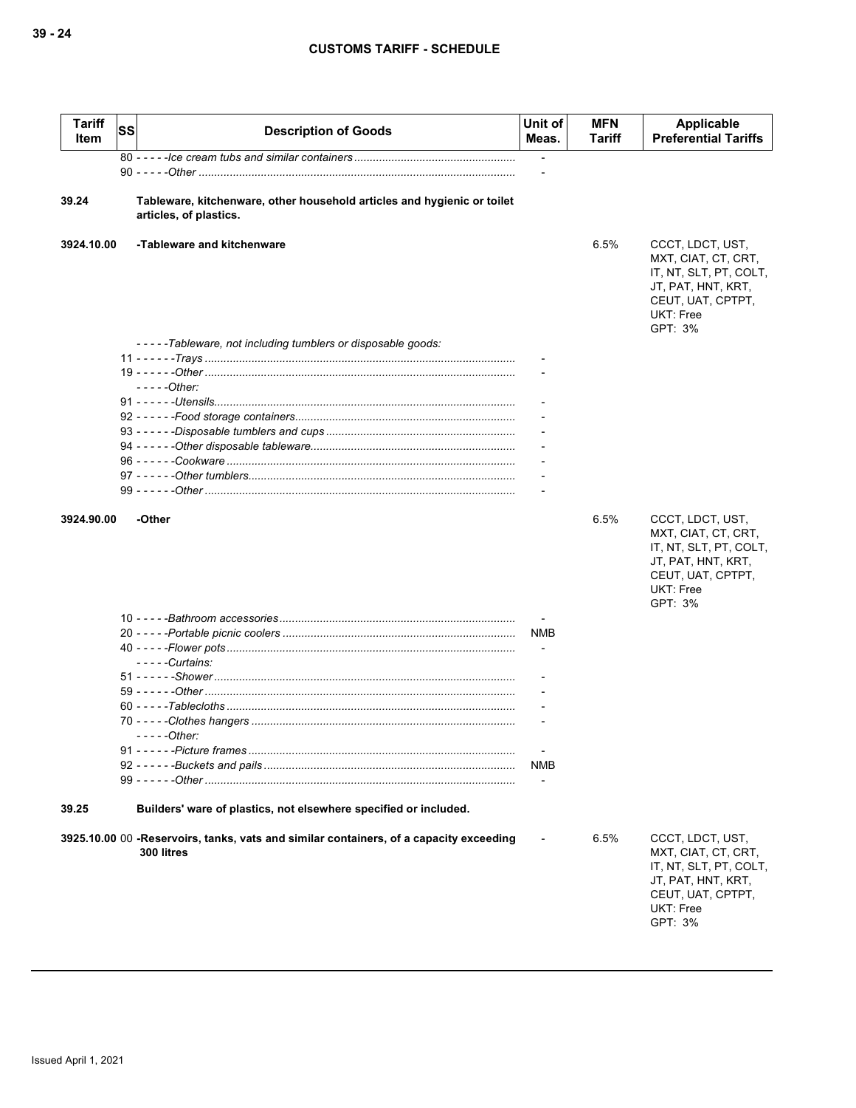| Tariff<br>Item | SS | <b>Description of Goods</b>                                                                          | Unit of<br>Meas.         | <b>MFN</b><br>Tariff | Applicable<br><b>Preferential Tariffs</b>                                                                                            |
|----------------|----|------------------------------------------------------------------------------------------------------|--------------------------|----------------------|--------------------------------------------------------------------------------------------------------------------------------------|
|                |    |                                                                                                      | $\overline{\phantom{a}}$ |                      |                                                                                                                                      |
|                |    |                                                                                                      |                          |                      |                                                                                                                                      |
| 39.24          |    | Tableware, kitchenware, other household articles and hygienic or toilet<br>articles, of plastics.    |                          |                      |                                                                                                                                      |
| 3924.10.00     |    | -Tableware and kitchenware                                                                           |                          | 6.5%                 | CCCT, LDCT, UST,<br>MXT, CIAT, CT, CRT,<br>IT, NT, SLT, PT, COLT,<br>JT, PAT, HNT, KRT,<br>CEUT, UAT, CPTPT,<br>UKT: Free<br>GPT: 3% |
|                |    | -----Tableware, not including tumblers or disposable goods:                                          |                          |                      |                                                                                                                                      |
|                |    |                                                                                                      |                          |                      |                                                                                                                                      |
|                |    |                                                                                                      |                          |                      |                                                                                                                                      |
|                |    | $---Other:$                                                                                          |                          |                      |                                                                                                                                      |
|                |    |                                                                                                      |                          |                      |                                                                                                                                      |
|                |    |                                                                                                      |                          |                      |                                                                                                                                      |
|                |    |                                                                                                      |                          |                      |                                                                                                                                      |
|                |    |                                                                                                      |                          |                      |                                                                                                                                      |
|                |    |                                                                                                      |                          |                      |                                                                                                                                      |
|                |    |                                                                                                      |                          |                      |                                                                                                                                      |
|                |    |                                                                                                      |                          |                      |                                                                                                                                      |
| 3924.90.00     |    | -Other                                                                                               |                          | 6.5%                 | CCCT, LDCT, UST,<br>MXT, CIAT, CT, CRT,<br>IT, NT, SLT, PT, COLT,<br>JT, PAT, HNT, KRT,<br>CEUT, UAT, CPTPT,<br>UKT: Free<br>GPT: 3% |
|                |    |                                                                                                      |                          |                      |                                                                                                                                      |
|                |    |                                                                                                      | <b>NMB</b>               |                      |                                                                                                                                      |
|                |    |                                                                                                      |                          |                      |                                                                                                                                      |
|                |    | $---Curtains:$                                                                                       |                          |                      |                                                                                                                                      |
|                |    |                                                                                                      |                          |                      |                                                                                                                                      |
|                |    |                                                                                                      |                          |                      |                                                                                                                                      |
|                |    |                                                                                                      |                          |                      |                                                                                                                                      |
|                |    | - - - - -Other:                                                                                      |                          |                      |                                                                                                                                      |
|                |    |                                                                                                      |                          |                      |                                                                                                                                      |
|                |    |                                                                                                      | NMB                      |                      |                                                                                                                                      |
|                |    |                                                                                                      |                          |                      |                                                                                                                                      |
|                |    |                                                                                                      |                          |                      |                                                                                                                                      |
| 39.25          |    | Builders' ware of plastics, not elsewhere specified or included.                                     |                          |                      |                                                                                                                                      |
|                |    | 3925.10.00 00 -Reservoirs, tanks, vats and similar containers, of a capacity exceeding<br>300 litres |                          | 6.5%                 | CCCT, LDCT, UST,<br>MXT, CIAT, CT, CRT,<br>IT, NT, SLT, PT, COLT,<br>JT, PAT, HNT, KRT,<br>CEUT, UAT, CPTPT,<br>UKT: Free<br>GPT: 3% |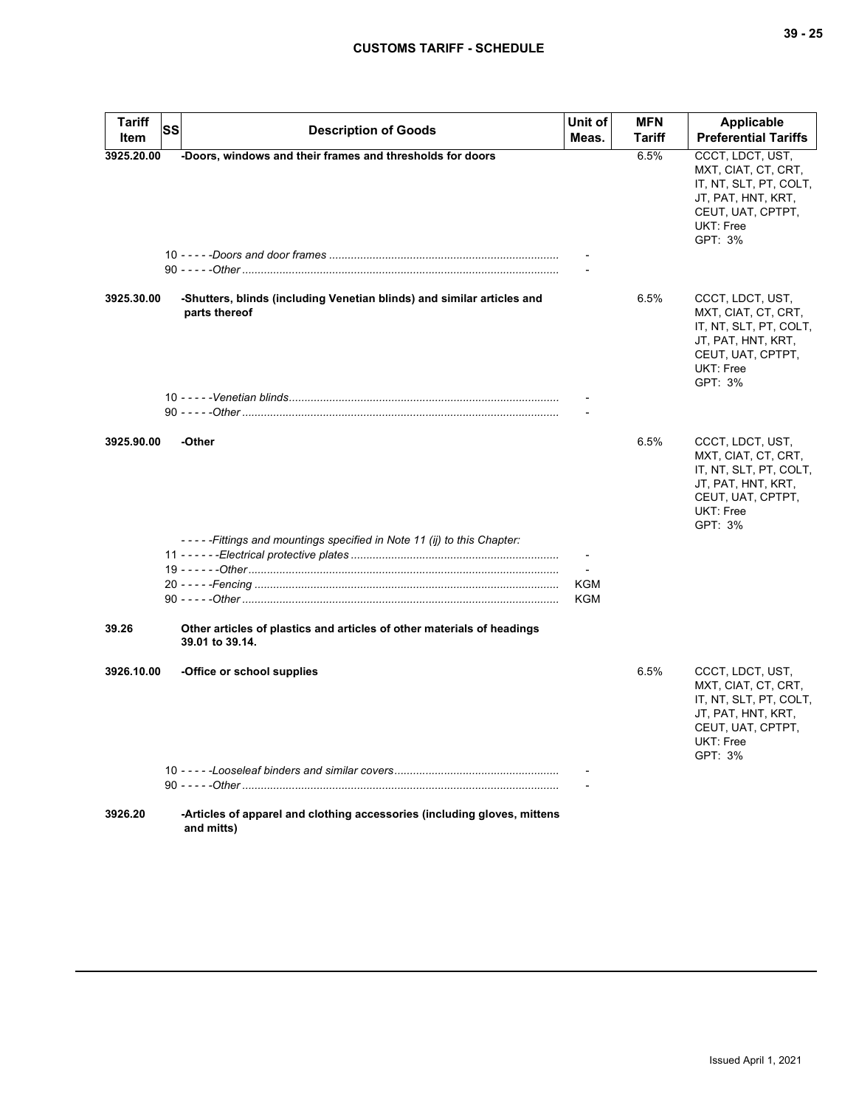| <b>Tariff</b><br>Item | SS | <b>Description of Goods</b>                                                               | Unit of<br>Meas. | <b>MFN</b><br>Tariff | Applicable<br><b>Preferential Tariffs</b>                                                                                                   |
|-----------------------|----|-------------------------------------------------------------------------------------------|------------------|----------------------|---------------------------------------------------------------------------------------------------------------------------------------------|
| 3925.20.00            |    | -Doors, windows and their frames and thresholds for doors                                 |                  | 6.5%                 | CCCT, LDCT, UST,<br>MXT, CIAT, CT, CRT,<br>IT, NT, SLT, PT, COLT,<br>JT, PAT, HNT, KRT,<br>CEUT, UAT, CPTPT,<br>UKT: Free<br>GPT: 3%        |
| 3925.30.00            |    | -Shutters, blinds (including Venetian blinds) and similar articles and<br>parts thereof   |                  | 6.5%                 | CCCT, LDCT, UST,<br>MXT, CIAT, CT, CRT,<br>IT, NT, SLT, PT, COLT,<br>JT, PAT, HNT, KRT,<br>CEUT, UAT, CPTPT,<br>UKT: Free<br>GPT: 3%        |
|                       |    |                                                                                           |                  |                      |                                                                                                                                             |
| 3925.90.00            |    | -Other<br>-----Fittings and mountings specified in Note 11 (ij) to this Chapter:          |                  | 6.5%                 | CCCT, LDCT, UST,<br>MXT, CIAT, CT, CRT,<br>IT, NT, SLT, PT, COLT,<br>JT, PAT, HNT, KRT,<br>CEUT, UAT, CPTPT,<br>UKT: Free<br>GPT: 3%        |
|                       |    |                                                                                           |                  |                      |                                                                                                                                             |
|                       |    |                                                                                           | KGM<br>KGM       |                      |                                                                                                                                             |
| 39.26                 |    | Other articles of plastics and articles of other materials of headings<br>39.01 to 39.14. |                  |                      |                                                                                                                                             |
| 3926.10.00            |    | -Office or school supplies                                                                |                  | 6.5%                 | CCCT, LDCT, UST,<br>MXT, CIAT, CT, CRT,<br>IT, NT, SLT, PT, COLT,<br>JT, PAT, HNT, KRT,<br>CEUT, UAT, CPTPT,<br><b>UKT: Free</b><br>GPT: 3% |
|                       |    |                                                                                           |                  |                      |                                                                                                                                             |
|                       |    |                                                                                           |                  |                      |                                                                                                                                             |
| 3926.20               |    | -Articles of apparel and clothing accessories (including gloves, mittens<br>and mitts)    |                  |                      |                                                                                                                                             |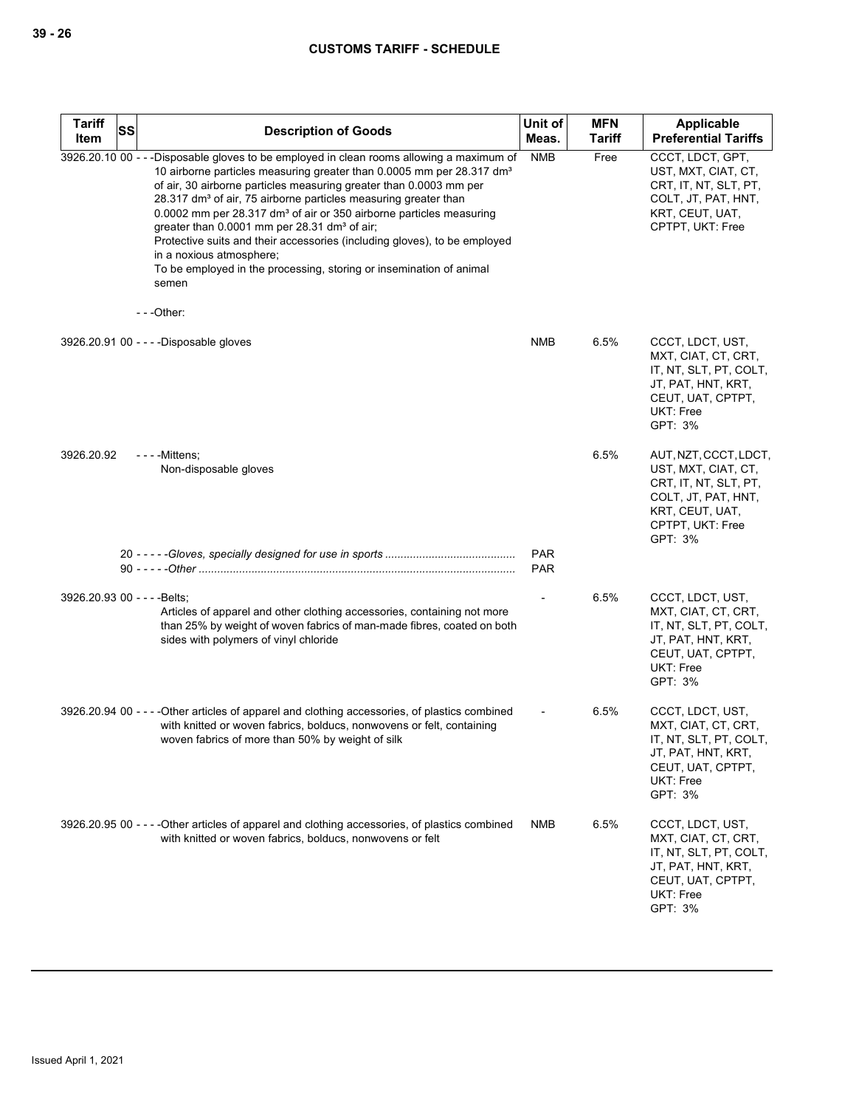| <b>Tariff</b><br>Item        | SS | <b>Description of Goods</b>                                                                                                                                                                                                                                                                                                                                                                                                                                                                                                                                                                                                                                                | Unit of<br>Meas.         | <b>MFN</b><br><b>Tariff</b> | Applicable<br><b>Preferential Tariffs</b>                                                                                                      |
|------------------------------|----|----------------------------------------------------------------------------------------------------------------------------------------------------------------------------------------------------------------------------------------------------------------------------------------------------------------------------------------------------------------------------------------------------------------------------------------------------------------------------------------------------------------------------------------------------------------------------------------------------------------------------------------------------------------------------|--------------------------|-----------------------------|------------------------------------------------------------------------------------------------------------------------------------------------|
|                              |    | 3926.20.10 00 - - -Disposable gloves to be employed in clean rooms allowing a maximum of<br>10 airborne particles measuring greater than 0.0005 mm per 28.317 dm <sup>3</sup><br>of air, 30 airborne particles measuring greater than 0.0003 mm per<br>28.317 dm <sup>3</sup> of air, 75 airborne particles measuring greater than<br>0.0002 mm per 28.317 dm <sup>3</sup> of air or 350 airborne particles measuring<br>greater than 0.0001 mm per 28.31 dm <sup>3</sup> of air;<br>Protective suits and their accessories (including gloves), to be employed<br>in a noxious atmosphere;<br>To be employed in the processing, storing or insemination of animal<br>semen | <b>NMB</b>               | Free                        | CCCT, LDCT, GPT,<br>UST, MXT, CIAT, CT,<br>CRT, IT, NT, SLT, PT,<br>COLT, JT, PAT, HNT,<br>KRT, CEUT, UAT,<br>CPTPT, UKT: Free                 |
|                              |    | $--$ Other:                                                                                                                                                                                                                                                                                                                                                                                                                                                                                                                                                                                                                                                                |                          |                             |                                                                                                                                                |
|                              |    | 3926.20.91 00 - - - -Disposable gloves                                                                                                                                                                                                                                                                                                                                                                                                                                                                                                                                                                                                                                     | NMB                      | 6.5%                        | CCCT, LDCT, UST,<br>MXT, CIAT, CT, CRT,<br>IT, NT, SLT, PT, COLT,<br>JT, PAT, HNT, KRT,<br>CEUT, UAT, CPTPT,<br><b>UKT: Free</b><br>GPT: 3%    |
| 3926.20.92                   |    | $--$ - Mittens;<br>Non-disposable gloves                                                                                                                                                                                                                                                                                                                                                                                                                                                                                                                                                                                                                                   |                          | 6.5%                        | AUT, NZT, CCCT, LDCT,<br>UST, MXT, CIAT, CT,<br>CRT, IT, NT, SLT, PT,<br>COLT, JT, PAT, HNT,<br>KRT, CEUT, UAT,<br>CPTPT, UKT: Free<br>GPT: 3% |
|                              |    |                                                                                                                                                                                                                                                                                                                                                                                                                                                                                                                                                                                                                                                                            | <b>PAR</b><br><b>PAR</b> |                             |                                                                                                                                                |
| 3926.20.93 00 - - - - Belts; |    | Articles of apparel and other clothing accessories, containing not more<br>than 25% by weight of woven fabrics of man-made fibres, coated on both<br>sides with polymers of vinyl chloride                                                                                                                                                                                                                                                                                                                                                                                                                                                                                 |                          | 6.5%                        | CCCT, LDCT, UST,<br>MXT, CIAT, CT, CRT,<br>IT, NT, SLT, PT, COLT,<br>JT, PAT, HNT, KRT,<br>CEUT, UAT, CPTPT,<br><b>UKT: Free</b><br>GPT: 3%    |
|                              |    | 3926.20.94 00 - - - - Other articles of apparel and clothing accessories, of plastics combined<br>with knitted or woven fabrics, bolducs, nonwovens or felt, containing<br>woven fabrics of more than 50% by weight of silk                                                                                                                                                                                                                                                                                                                                                                                                                                                |                          | 6.5%                        | CCCT, LDCT, UST,<br>MXT, CIAT, CT, CRT,<br>IT, NT, SLT, PT, COLT,<br>JT, PAT, HNT, KRT,<br>CEUT, UAT, CPTPT,<br>UKT: Free<br>GPT: 3%           |
|                              |    | 3926.20.95 00 - - - - Other articles of apparel and clothing accessories, of plastics combined<br>with knitted or woven fabrics, bolducs, nonwovens or felt                                                                                                                                                                                                                                                                                                                                                                                                                                                                                                                | NMB                      | 6.5%                        | CCCT, LDCT, UST,<br>MXT, CIAT, CT, CRT,<br>IT, NT, SLT, PT, COLT,<br>JT, PAT, HNT, KRT,<br>CEUT, UAT, CPTPT,<br>UKT: Free<br>GPT: 3%           |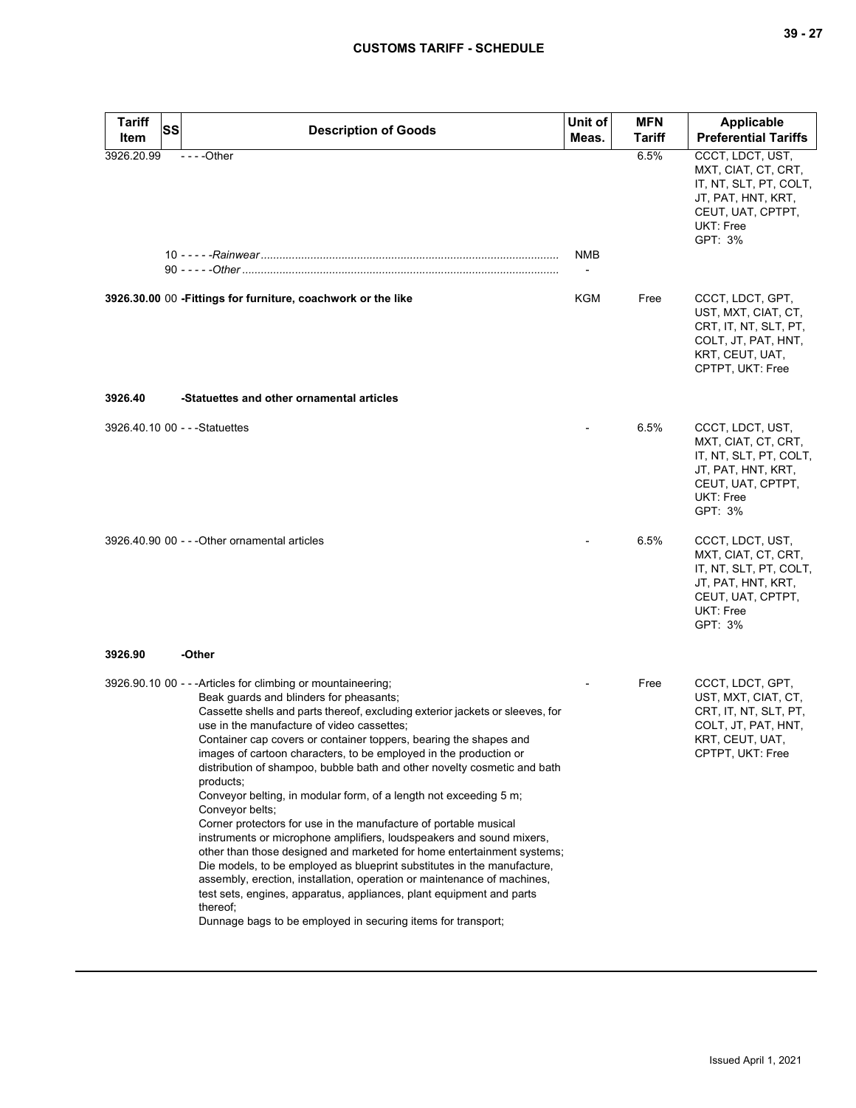| <b>Tariff</b><br>SS<br>Item    | <b>Description of Goods</b>                                                                                                                                                                                                                                                                                                                                                                                                                                                                                                                                                                                                                                                                                                                                                                                                                                                                                                                                                                                                                                                                       | Unit of<br>Meas. | <b>MFN</b><br>Tariff | <b>Applicable</b><br><b>Preferential Tariffs</b>                                                                                     |
|--------------------------------|---------------------------------------------------------------------------------------------------------------------------------------------------------------------------------------------------------------------------------------------------------------------------------------------------------------------------------------------------------------------------------------------------------------------------------------------------------------------------------------------------------------------------------------------------------------------------------------------------------------------------------------------------------------------------------------------------------------------------------------------------------------------------------------------------------------------------------------------------------------------------------------------------------------------------------------------------------------------------------------------------------------------------------------------------------------------------------------------------|------------------|----------------------|--------------------------------------------------------------------------------------------------------------------------------------|
| 3926.20.99                     | $--Other$                                                                                                                                                                                                                                                                                                                                                                                                                                                                                                                                                                                                                                                                                                                                                                                                                                                                                                                                                                                                                                                                                         | NMB              | 6.5%                 | CCCT, LDCT, UST,<br>MXT, CIAT, CT, CRT,<br>IT, NT, SLT, PT, COLT,<br>JT, PAT, HNT, KRT,<br>CEUT, UAT, CPTPT,<br>UKT: Free<br>GPT: 3% |
|                                | 3926.30.00 00 - Fittings for furniture, coachwork or the like                                                                                                                                                                                                                                                                                                                                                                                                                                                                                                                                                                                                                                                                                                                                                                                                                                                                                                                                                                                                                                     | KGM              | Free                 | CCCT, LDCT, GPT,<br>UST, MXT, CIAT, CT,<br>CRT, IT, NT, SLT, PT,<br>COLT, JT, PAT, HNT,<br>KRT, CEUT, UAT,<br>CPTPT, UKT: Free       |
| 3926.40                        | -Statuettes and other ornamental articles                                                                                                                                                                                                                                                                                                                                                                                                                                                                                                                                                                                                                                                                                                                                                                                                                                                                                                                                                                                                                                                         |                  |                      |                                                                                                                                      |
| 3926.40.10 00 - - - Statuettes |                                                                                                                                                                                                                                                                                                                                                                                                                                                                                                                                                                                                                                                                                                                                                                                                                                                                                                                                                                                                                                                                                                   |                  | 6.5%                 | CCCT, LDCT, UST,<br>MXT, CIAT, CT, CRT,<br>IT, NT, SLT, PT, COLT,<br>JT, PAT, HNT, KRT,<br>CEUT, UAT, CPTPT,<br>UKT: Free<br>GPT: 3% |
|                                | 3926.40.90 00 - - - Other ornamental articles                                                                                                                                                                                                                                                                                                                                                                                                                                                                                                                                                                                                                                                                                                                                                                                                                                                                                                                                                                                                                                                     |                  | 6.5%                 | CCCT, LDCT, UST,<br>MXT, CIAT, CT, CRT,<br>IT, NT, SLT, PT, COLT,<br>JT, PAT, HNT, KRT,<br>CEUT, UAT, CPTPT,<br>UKT: Free<br>GPT: 3% |
| 3926.90                        | -Other                                                                                                                                                                                                                                                                                                                                                                                                                                                                                                                                                                                                                                                                                                                                                                                                                                                                                                                                                                                                                                                                                            |                  |                      |                                                                                                                                      |
|                                | 3926.90.10 00 - - - Articles for climbing or mountaineering;<br>Beak guards and blinders for pheasants;<br>Cassette shells and parts thereof, excluding exterior jackets or sleeves, for<br>use in the manufacture of video cassettes:<br>Container cap covers or container toppers, bearing the shapes and<br>images of cartoon characters, to be employed in the production or<br>distribution of shampoo, bubble bath and other novelty cosmetic and bath<br>products;<br>Conveyor belting, in modular form, of a length not exceeding 5 m;<br>Conveyor belts;<br>Corner protectors for use in the manufacture of portable musical<br>instruments or microphone amplifiers, loudspeakers and sound mixers,<br>other than those designed and marketed for home entertainment systems;<br>Die models, to be employed as blueprint substitutes in the manufacture,<br>assembly, erection, installation, operation or maintenance of machines,<br>test sets, engines, apparatus, appliances, plant equipment and parts<br>thereof;<br>Dunnage bags to be employed in securing items for transport; |                  | Free                 | CCCT, LDCT, GPT,<br>UST, MXT, CIAT, CT,<br>CRT, IT, NT, SLT, PT,<br>COLT, JT, PAT, HNT,<br>KRT, CEUT, UAT,<br>CPTPT, UKT: Free       |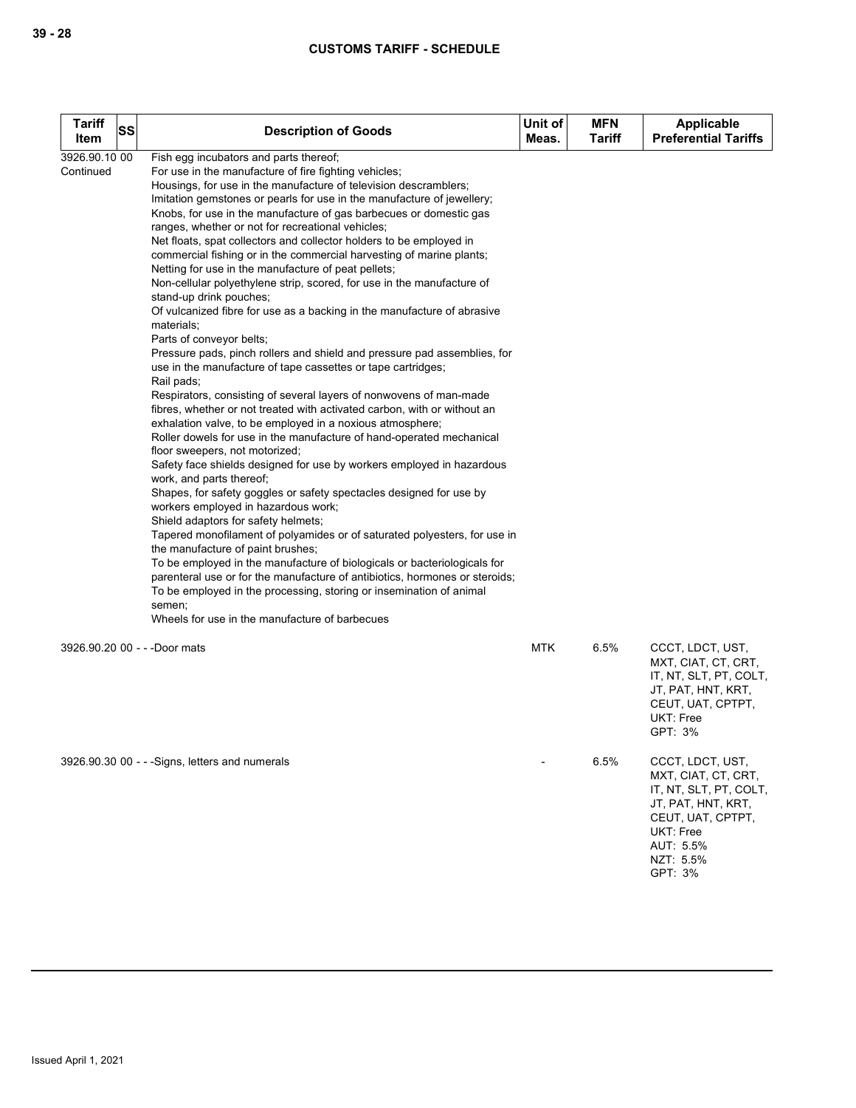| Tariff<br>Item             | SS | <b>Description of Goods</b>                                                                                                                                                                                                                                                                                                                                                                                                                                                                                                                                                                                                                                                                                                                                                                                                                                                                                                                                                                                                                                                                                                                                                                                                                                                                                                                                                                                                                                                                                                                                                                                                                                                                                                                                                                                                                                                                                                                                           | Unit of<br>Meas. | <b>MFN</b><br><b>Tariff</b> | Applicable<br><b>Preferential Tariffs</b>                                                                                                                             |
|----------------------------|----|-----------------------------------------------------------------------------------------------------------------------------------------------------------------------------------------------------------------------------------------------------------------------------------------------------------------------------------------------------------------------------------------------------------------------------------------------------------------------------------------------------------------------------------------------------------------------------------------------------------------------------------------------------------------------------------------------------------------------------------------------------------------------------------------------------------------------------------------------------------------------------------------------------------------------------------------------------------------------------------------------------------------------------------------------------------------------------------------------------------------------------------------------------------------------------------------------------------------------------------------------------------------------------------------------------------------------------------------------------------------------------------------------------------------------------------------------------------------------------------------------------------------------------------------------------------------------------------------------------------------------------------------------------------------------------------------------------------------------------------------------------------------------------------------------------------------------------------------------------------------------------------------------------------------------------------------------------------------------|------------------|-----------------------------|-----------------------------------------------------------------------------------------------------------------------------------------------------------------------|
| 3926.90.10 00<br>Continued |    | Fish egg incubators and parts thereof;<br>For use in the manufacture of fire fighting vehicles;<br>Housings, for use in the manufacture of television descramblers;<br>Imitation gemstones or pearls for use in the manufacture of jewellery;<br>Knobs, for use in the manufacture of gas barbecues or domestic gas<br>ranges, whether or not for recreational vehicles;<br>Net floats, spat collectors and collector holders to be employed in<br>commercial fishing or in the commercial harvesting of marine plants;<br>Netting for use in the manufacture of peat pellets;<br>Non-cellular polyethylene strip, scored, for use in the manufacture of<br>stand-up drink pouches;<br>Of vulcanized fibre for use as a backing in the manufacture of abrasive<br>materials;<br>Parts of conveyor belts;<br>Pressure pads, pinch rollers and shield and pressure pad assemblies, for<br>use in the manufacture of tape cassettes or tape cartridges;<br>Rail pads;<br>Respirators, consisting of several layers of nonwovens of man-made<br>fibres, whether or not treated with activated carbon, with or without an<br>exhalation valve, to be employed in a noxious atmosphere;<br>Roller dowels for use in the manufacture of hand-operated mechanical<br>floor sweepers, not motorized;<br>Safety face shields designed for use by workers employed in hazardous<br>work, and parts thereof;<br>Shapes, for safety goggles or safety spectacles designed for use by<br>workers employed in hazardous work;<br>Shield adaptors for safety helmets;<br>Tapered monofilament of polyamides or of saturated polyesters, for use in<br>the manufacture of paint brushes;<br>To be employed in the manufacture of biologicals or bacteriologicals for<br>parenteral use or for the manufacture of antibiotics, hormones or steroids;<br>To be employed in the processing, storing or insemination of animal<br>semen;<br>Wheels for use in the manufacture of barbecues |                  |                             |                                                                                                                                                                       |
|                            |    | 3926.90.20 00 - - - Door mats                                                                                                                                                                                                                                                                                                                                                                                                                                                                                                                                                                                                                                                                                                                                                                                                                                                                                                                                                                                                                                                                                                                                                                                                                                                                                                                                                                                                                                                                                                                                                                                                                                                                                                                                                                                                                                                                                                                                         | <b>MTK</b>       | 6.5%                        | CCCT, LDCT, UST,<br>MXT, CIAT, CT, CRT,<br>IT, NT, SLT, PT, COLT,<br>JT, PAT, HNT, KRT,<br>CEUT, UAT, CPTPT,<br><b>UKT: Free</b><br>GPT: 3%                           |
|                            |    | 3926.90.30 00 - - - Signs, letters and numerals                                                                                                                                                                                                                                                                                                                                                                                                                                                                                                                                                                                                                                                                                                                                                                                                                                                                                                                                                                                                                                                                                                                                                                                                                                                                                                                                                                                                                                                                                                                                                                                                                                                                                                                                                                                                                                                                                                                       |                  | 6.5%                        | CCCT, LDCT, UST,<br>MXT, CIAT, CT, CRT,<br>IT, NT, SLT, PT, COLT,<br>JT, PAT, HNT, KRT,<br>CEUT, UAT, CPTPT,<br><b>UKT: Free</b><br>AUT: 5.5%<br>NZT: 5.5%<br>GPT: 3% |